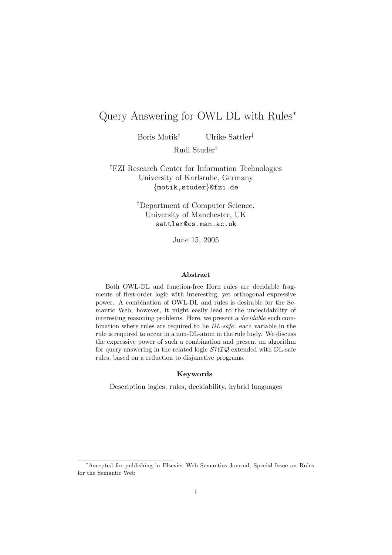# Query Answering for OWL-DL with Rules<sup>∗</sup>

Boris Motik† Ulrike Sattler‡

Rudi Studer†

†FZI Research Center for Information Technologies University of Karlsruhe, Germany {motik,studer}@fzi.de

> ‡Department of Computer Science, University of Manchester, UK sattler@cs.man.ac.uk

> > June 15, 2005

## Abstract

Both OWL-DL and function-free Horn rules are decidable fragments of first-order logic with interesting, yet orthogonal expressive power. A combination of OWL-DL and rules is desirable for the Semantic Web; however, it might easily lead to the undecidability of interesting reasoning problems. Here, we present a decidable such combination where rules are required to be DL-safe: each variable in the rule is required to occur in a non-DL-atom in the rule body. We discuss the expressive power of such a combination and present an algorithm for query answering in the related logic  $\mathcal{SHIQ}$  extended with DL-safe rules, based on a reduction to disjunctive programs.

## Keywords

Description logics, rules, decidability, hybrid languages

<sup>∗</sup>Accepted for publishing in Elsevier Web Semantics Journal, Special Issue on Rules for the Semantic Web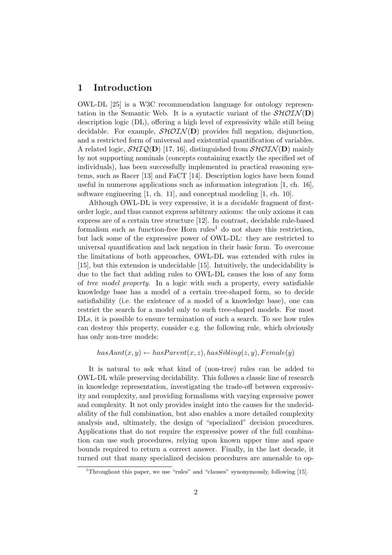# 1 Introduction

OWL-DL [25] is a W3C recommendation language for ontology representation in the Semantic Web. It is a syntactic variant of the  $\mathcal{SHOIN}(\mathbf{D})$ description logic (DL), offering a high level of expressivity while still being decidable. For example,  $\mathcal{SHOLN}(\mathbf{D})$  provides full negation, disjunction, and a restricted form of universal and existential quantification of variables. A related logic,  $\mathcal{SHIQ}(\mathbf{D})$  [17, 16], distinguished from  $\mathcal{SHOIN}(\mathbf{D})$  mainly by not supporting nominals (concepts containing exactly the specified set of individuals), has been successfully implemented in practical reasoning systems, such as Racer [13] and FaCT [14]. Description logics have been found useful in numerous applications such as information integration [1, ch. 16], software engineering [1, ch. 11], and conceptual modeling [1, ch. 10].

Although OWL-DL is very expressive, it is a decidable fragment of firstorder logic, and thus cannot express arbitrary axioms: the only axioms it can express are of a certain tree structure [12]. In contrast, decidable rule-based formalism such as function-free Horn rules<sup>1</sup> do not share this restriction, but lack some of the expressive power of OWL-DL: they are restricted to universal quantification and lack negation in their basic form. To overcome the limitations of both approaches, OWL-DL was extended with rules in [15], but this extension is undecidable [15]. Intuitively, the undecidability is due to the fact that adding rules to OWL-DL causes the loss of any form of tree model property. In a logic with such a property, every satisfiable knowledge base has a model of a certain tree-shaped form, so to decide satisfiability (i.e. the existence of a model of a knowledge base), one can restrict the search for a model only to such tree-shaped models. For most DLs, it is possible to ensure termination of such a search. To see how rules can destroy this property, consider e.g. the following rule, which obviously has only non-tree models:

## $hasAunt(x, y) \leftarrow hasParent(x, z), hasSibling(z, y), Female(y)$

It is natural to ask what kind of (non-tree) rules can be added to OWL-DL while preserving decidability. This follows a classic line of research in knowledge representation, investigating the trade-off between expressivity and complexity, and providing formalisms with varying expressive power and complexity. It not only provides insight into the causes for the undecidability of the full combination, but also enables a more detailed complexity analysis and, ultimately, the design of "specialized" decision procedures. Applications that do not require the expressive power of the full combination can use such procedures, relying upon known upper time and space bounds required to return a correct answer. Finally, in the last decade, it turned out that many specialized decision procedures are amenable to op-

<sup>&</sup>lt;sup>1</sup>Throughout this paper, we use "rules" and "clauses" synonymously, following [15].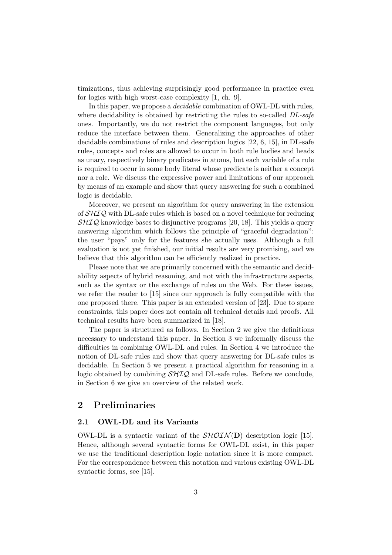timizations, thus achieving surprisingly good performance in practice even for logics with high worst-case complexity [1, ch. 9].

In this paper, we propose a *decidable* combination of OWL-DL with rules, where decidability is obtained by restricting the rules to so-called  $DL\text{-}safe$ ones. Importantly, we do not restrict the component languages, but only reduce the interface between them. Generalizing the approaches of other decidable combinations of rules and description logics [22, 6, 15], in DL-safe rules, concepts and roles are allowed to occur in both rule bodies and heads as unary, respectively binary predicates in atoms, but each variable of a rule is required to occur in some body literal whose predicate is neither a concept nor a role. We discuss the expressive power and limitations of our approach by means of an example and show that query answering for such a combined logic is decidable.

Moreover, we present an algorithm for query answering in the extension of SHIQ with DL-safe rules which is based on a novel technique for reducing  $\mathcal{SHIQ}$  knowledge bases to disjunctive programs [20, 18]. This yields a query answering algorithm which follows the principle of "graceful degradation": the user "pays" only for the features she actually uses. Although a full evaluation is not yet finished, our initial results are very promising, and we believe that this algorithm can be efficiently realized in practice.

Please note that we are primarily concerned with the semantic and decidability aspects of hybrid reasoning, and not with the infrastructure aspects, such as the syntax or the exchange of rules on the Web. For these issues, we refer the reader to [15] since our approach is fully compatible with the one proposed there. This paper is an extended version of [23]. Due to space constraints, this paper does not contain all technical details and proofs. All technical results have been summarized in [18].

The paper is structured as follows. In Section 2 we give the definitions necessary to understand this paper. In Section 3 we informally discuss the difficulties in combining OWL-DL and rules. In Section 4 we introduce the notion of DL-safe rules and show that query answering for DL-safe rules is decidable. In Section 5 we present a practical algorithm for reasoning in a logic obtained by combining  $\mathcal{SHIQ}$  and DL-safe rules. Before we conclude, in Section 6 we give an overview of the related work.

# 2 Preliminaries

## 2.1 OWL-DL and its Variants

OWL-DL is a syntactic variant of the  $\mathcal{SHOIN}(\mathbf{D})$  description logic [15]. Hence, although several syntactic forms for OWL-DL exist, in this paper we use the traditional description logic notation since it is more compact. For the correspondence between this notation and various existing OWL-DL syntactic forms, see [15].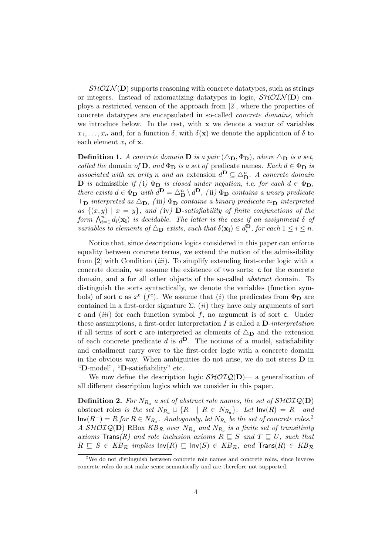$\mathcal{SHOIN}(\mathbf{D})$  supports reasoning with concrete datatypes, such as strings or integers. Instead of axiomatizing datatypes in logic,  $\mathcal{SHOIN}(\mathbf{D})$  employs a restricted version of the approach from [2], where the properties of concrete datatypes are encapsulated in so-called concrete domains, which we introduce below. In the rest, with  $x$  we denote a vector of variables  $x_1, \ldots, x_n$  and, for a function  $\delta$ , with  $\delta(\mathbf{x})$  we denote the application of  $\delta$  to each element  $x_i$  of  $x$ .

**Definition 1.** A concrete domain **D** is a pair  $(\Delta_{\mathbf{D}}, \Phi_{\mathbf{D}})$ , where  $\Delta_{\mathbf{D}}$  is a set, called the domain of D, and  $\Phi_D$  is a set of predicate names. Each  $d \in \Phi_D$  is associated with an arity n and an extension  $d^D \subseteq \Delta_{\mathbf{D}}^n$ . A concrete domain **D** is admissible if (i)  $\Phi_{\mathbf{D}}$  is closed under negation, i.e. for each  $d \in \Phi_{\mathbf{D}}$ , there exists  $\overline{d} \in \Phi_{\bf D}$  with  $\overline{d}^{\bf D} = \bigtriangleup_{\bf D}^n \setminus d^{\bf D}$ , (ii)  $\Phi_{\bf D}$  contains a unary predicate  $\mathcal{T}_{\mathbf{D}}$  interpreted as  $\Delta_{\mathbf{D}}$ , (iii)  $\Phi_{\mathbf{D}}$  contains a binary predicate  $\approx_{\mathbf{D}}$  interpreted as  $\{(x, y) \mid x = y\}$ , and (iv) **D**-satisfiability of finite conjunctions of the form  $\bigwedge_{i=1}^n d_i(\mathbf{x_i})$  is decidable. The latter is the case if an assignment  $\delta$  of variables to elements of  $\triangle_{\mathbf{D}}$  exists, such that  $\delta(\mathbf{x_i}) \in d_i^{\mathbf{D}}$ , for each  $1 \leq i \leq n$ .

Notice that, since descriptions logics considered in this paper can enforce equality between concrete terms, we extend the notion of the admissibility from  $[2]$  with Condition *(iii)*. To simplify extending first-order logic with a concrete domain, we assume the existence of two sorts: c for the concrete domain, and a for all other objects of the so-called abstract domain. To distinguish the sorts syntactically, we denote the variables (function symbols) of sort c as  $x^c$  ( $f^c$ ). We assume that (*i*) the predicates from  $\Phi_{\mathbf{D}}$  are contained in a first-order signature  $\Sigma$ , (ii) they have only arguments of sort c and  $(iii)$  for each function symbol f, no argument is of sort c. Under these assumptions, a first-order interpretation  $I$  is called a  $D\text{-}interpretation$ if all terms of sort c are interpreted as elements of  $\Delta_{\mathbf{D}}$  and the extension of each concrete predicate d is  $d^D$ . The notions of a model, satisfiability and entailment carry over to the first-order logic with a concrete domain in the obvious way. When ambiguities do not arise, we do not stress D in "D-model", "D-satisfiability" etc.

We now define the description logic  $\mathcal{SHOLQ}(\mathbf{D})$ — a generalization of all different description logics which we consider in this paper.

**Definition 2.** For  $N_{R_a}$  a set of abstract role names, the set of  $\mathcal{SHOIQ}(\mathbf{D})$ abstract roles is the set  $N_{R_a} \cup \{R^- \mid R \in N_{R_a}\}\$ . Let  $\mathsf{Inv}(R) = R^-$  and  $\mathsf{Inv}(R^-) = R$  for  $R \in N_{R_a}$ . Analogously, let  $N_{R_c}$  be the set of concrete roles.<sup>2</sup> A SHOIQ(D) RBox  $\mathit{KB}_{\mathcal{R}}$  over  $N_{R_a}$  and  $N_{R_c}$  is a finite set of transitivity axioms  $\textsf{Trans}(R)$  and role inclusion axioms  $R \subseteq S$  and  $T \subseteq U$ , such that  $R \subseteq S \in KB_{\mathcal{R}}$  implies  $Inv(R) \subseteq Inv(S) \in KB_{\mathcal{R}}$ , and  $Trans(R) \in KB_{\mathcal{R}}$ 

 $2\text{We do not distinguish between concrete role names and concrete roles, since inverse.}$ concrete roles do not make sense semantically and are therefore not supported.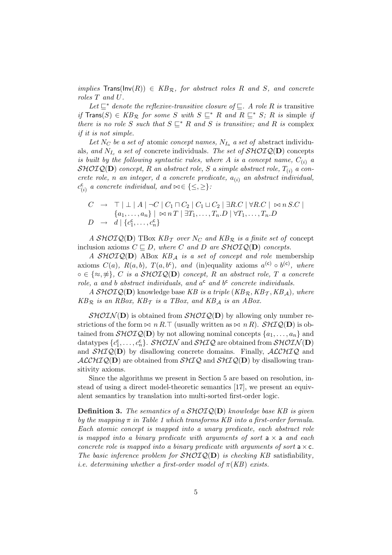implies  $\text{Trans}(\text{Inv}(R)) \in KB_{\mathcal{R}}$ , for abstract roles R and S, and concrete roles T and U.

Let  $\sqsubseteq^*$  denote the reflexive-transitive closure of  $\sqsubseteq$ . A role R is transitive if  $\text{Trans}(S) \in KB_{\mathcal{R}}$  for some S with  $S \subseteq^* R$  and  $R \subseteq^* S$ ; R is simple if there is no role S such that  $S \subseteq^* R$  and S is transitive; and R is complex if it is not simple.

Let N<sub>C</sub> be a set of atomic concept names,  $N_{I_a}$  a set of abstract individuals, and  $N_{I_c}$  a set of concrete individuals. The set of  $\mathcal{SHOLQ}(\mathbf{D})$  concepts is built by the following syntactic rules, where A is a concept name,  $C_{(i)}$  a  $\mathcal{SHOIQ}(\mathbf{D})$  concept, R an abstract role, S a simple abstract role,  $T_{(i)}$  a concrete role, n an integer, d a concrete predicate,  $a_{(i)}$  an abstract individual,  $c^{\mathsf{c}}_{\ell}$  $\mathcal{C}_{(i)}$  a concrete individual, and  $\bowtie \in \{\leq, \geq\}$ :

$$
C \rightarrow \top |\bot| A | \neg C | C_1 \sqcap C_2 | C_1 \sqcup C_2 | \exists R.C | \forall R.C | \bowtie n SC |
$$
  
\n
$$
\{a_1, \ldots, a_n\} | \bowtie n T | \exists T_1, \ldots, T_n.D | \forall T_1, \ldots, T_n.D
$$
  
\n
$$
D \rightarrow d | \{c_1^c, \ldots, c_n^c\}
$$

A SHOIQ(D) TBox  $KB<sub>T</sub>$  over N<sub>C</sub> and  $KB<sub>R</sub>$  is a finite set of concept inclusion axioms  $C \subseteq D$ , where C and D are  $\mathcal{SHOIQ}(\mathbf{D})$  concepts.

A  $\mathcal{SHOIQ}(\mathbf{D})$  ABox  $KB_A$  is a set of concept and role membership axioms  $C(a)$ ,  $R(a, b)$ ,  $T(a, b^c)$ , and (in)equality axioms  $a^{(c)} \circ b^{(c)}$ , where  $\circ \in \{\approx, \not\approx\}, C$  is a  $\mathcal{SHOLQ}(\mathbf{D})$  concept, R an abstract role, T a concrete role, a and b abstract individuals, and  $a^c$  and  $b^c$  concrete individuals.

A  $\mathcal{SHOIQ}(\mathbf{D})$  knowledge base KB is a triple  $(KB_{\mathcal{R}}, KB_{\mathcal{T}}, KB_{\mathcal{A}})$ , where  $KB_{\mathcal{R}}$  is an RBox,  $KB_{\mathcal{T}}$  is a TBox, and  $KB_{\mathcal{A}}$  is an ABox.

 $\mathcal{SHOIN}(\mathbf{D})$  is obtained from  $\mathcal{SHOIQ}(\mathbf{D})$  by allowing only number restrictions of the form  $\bowtie$  n R.⊤ (usually written as  $\bowtie$  n R). SHIQ(D) is obtained from  $\mathcal{SHOLQ}(\mathbf{D})$  by not allowing nominal concepts  $\{a_1, \ldots, a_n\}$  and datatypes  $\{c_1^{\mathsf{c}}\}$  $\{f_1,\ldots,f_n^{\mathsf{c}}\}$  .  $\mathcal{SHOLN}$  and  $\mathcal{SHIQ}$  are obtained from  $\mathcal{SHOLN}(\mathbf{D})$ and  $\mathcal{SHIQ}(\mathbf{D})$  by disallowing concrete domains. Finally,  $\mathcal{ALCHIQ}$  and  $ALCHIQ(D)$  are obtained from  $SHIQ$  and  $SHIQ(D)$  by disallowing transitivity axioms.

Since the algorithms we present in Section 5 are based on resolution, instead of using a direct model-theoretic semantics [17], we present an equivalent semantics by translation into multi-sorted first-order logic.

**Definition 3.** The semantics of a  $\mathcal{SHOLQ}(\mathbf{D})$  knowledge base KB is given by the mapping  $\pi$  in Table 1 which transforms KB into a first-order formula. Each atomic concept is mapped into a unary predicate, each abstract role is mapped into a binary predicate with arguments of sort  $a \times a$  and each concrete role is mapped into a binary predicate with arguments of sort  $a \times c$ . The basic inference problem for  $\mathcal{SHOLQ}(\mathbf{D})$  is checking KB satisfiability, i.e. determining whether a first-order model of  $\pi(KB)$  exists.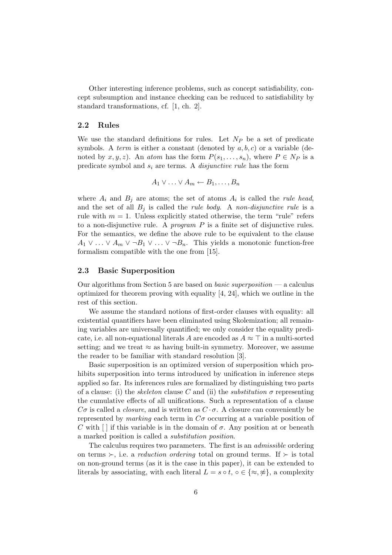Other interesting inference problems, such as concept satisfiability, concept subsumption and instance checking can be reduced to satisfiability by standard transformations, cf. [1, ch. 2].

## 2.2 Rules

We use the standard definitions for rules. Let  $N_P$  be a set of predicate symbols. A *term* is either a constant (denoted by  $a, b, c$ ) or a variable (denoted by x, y, z). An atom has the form  $P(s_1, \ldots, s_n)$ , where  $P \in N_P$  is a predicate symbol and  $s_i$  are terms. A *disjunctive rule* has the form

$$
A_1 \vee \ldots \vee A_m \leftarrow B_1, \ldots, B_n
$$

where  $A_i$  and  $B_j$  are atoms; the set of atoms  $A_i$  is called the *rule head*, and the set of all  $B_i$  is called the *rule body*. A non-disjunctive rule is a rule with  $m = 1$ . Unless explicitly stated otherwise, the term "rule" refers to a non-disjunctive rule. A *program*  $P$  is a finite set of disjunctive rules. For the semantics, we define the above rule to be equivalent to the clause  $A_1 \vee \ldots \vee A_m \vee \neg B_1 \vee \ldots \vee \neg B_n$ . This yields a monotonic function-free formalism compatible with the one from [15].

#### 2.3 Basic Superposition

Our algorithms from Section 5 are based on *basic superposition* — a calculus optimized for theorem proving with equality [4, 24], which we outline in the rest of this section.

We assume the standard notions of first-order clauses with equality: all existential quantifiers have been eliminated using Skolemization; all remaining variables are universally quantified; we only consider the equality predicate, i.e. all non-equational literals A are encoded as  $A \approx \top$  in a multi-sorted setting; and we treat  $\approx$  as having built-in symmetry. Moreover, we assume the reader to be familiar with standard resolution [3].

Basic superposition is an optimized version of superposition which prohibits superposition into terms introduced by unification in inference steps applied so far. Its inferences rules are formalized by distinguishing two parts of a clause: (i) the *skeleton* clause C and (ii) the *substitution*  $\sigma$  representing the cumulative effects of all unifications. Such a representation of a clause  $C\sigma$  is called a *closure*, and is written as  $C\cdot\sigma$ . A closure can conveniently be represented by *marking* each term in  $C\sigma$  occurring at a variable position of C with  $\lceil \cdot \rceil$  if this variable is in the domain of  $\sigma$ . Any position at or beneath a marked position is called a substitution position.

The calculus requires two parameters. The first is an *admissible* ordering on terms ≻, i.e. a *reduction ordering* total on ground terms. If  $\succ$  is total on non-ground terms (as it is the case in this paper), it can be extended to literals by associating, with each literal  $L = s \circ t$ ,  $\circ \in \{\approx, \approx\}$ , a complexity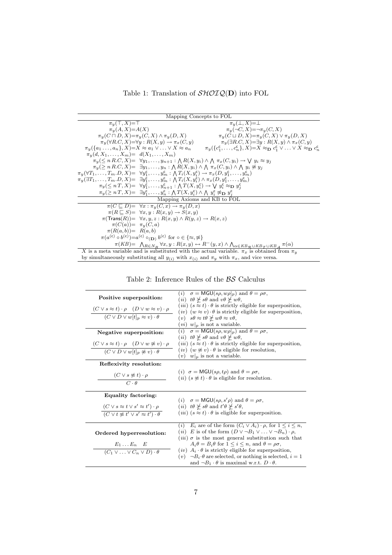Table 1: Translation of  $\mathcal{SHOLQ}(\mathbf{D})$  into FOL



Table 2: Inference Rules of the BS Calculus

| Positive superposition:<br>$(C \vee s \approx t) \cdot \rho$ $(D \vee w \approx v) \cdot \rho$<br>$(C \vee D \vee w[t]_p \approx v) \cdot \theta$<br>Negative superposition:<br>$(C \vee s \approx t) \cdot \rho \quad (D \vee w \not\approx v) \cdot \rho$<br>$(C \vee \overline{D \vee w[t]_p \not\approx v) \cdot \theta}$ | ( <i>i</i> ) $\sigma = \text{MGU}(s\rho, w\rho _p)$ and $\theta = \rho\sigma$ ,<br>( <i>ii</i> ) $t\theta \not\geq s\theta$ and $v\theta \not\geq w\theta$ ,<br>( <i>iii</i> ) $(s \approx t) \cdot \theta$ is strictly eligible for superposition,<br>$(iv)$ $(w \approx v) \cdot \theta$ is strictly eligible for superposition,<br>(v) $s\theta \approx t\theta \not\succeq w\theta \approx v\theta$ ,<br>$(vi)$ $w _p$ is not a variable.<br>( <i>i</i> ) $\sigma = \overline{\text{MGU}(s\rho, w\rho _p)}$ and $\theta = \rho\sigma$ ,<br>( <i>ii</i> ) $t\theta \not\geq s\theta$ and $v\theta \not\geq w\theta$ ,<br>( <i>iii</i> ) $(s \approx t) \cdot \theta$ is strictly eligible for superposition,<br>$(iv)$ $(w \not\approx v) \cdot \theta$ is eligible for resolution,<br>$(v)$ $w _p$ is not a variable. |
|-------------------------------------------------------------------------------------------------------------------------------------------------------------------------------------------------------------------------------------------------------------------------------------------------------------------------------|---------------------------------------------------------------------------------------------------------------------------------------------------------------------------------------------------------------------------------------------------------------------------------------------------------------------------------------------------------------------------------------------------------------------------------------------------------------------------------------------------------------------------------------------------------------------------------------------------------------------------------------------------------------------------------------------------------------------------------------------------------------------------------------------------------------------------|
| Reflexivity resolution:<br>$(C \vee s \not\approx t) \cdot \rho$                                                                                                                                                                                                                                                              | ( <i>i</i> ) $\sigma = MGU(s\rho, t\rho)$ and $\theta = \rho\sigma$ ,                                                                                                                                                                                                                                                                                                                                                                                                                                                                                                                                                                                                                                                                                                                                                     |
| $C \cdot \theta$                                                                                                                                                                                                                                                                                                              | ( <i>ii</i> ) $(s \not\approx t) \cdot \theta$ is eligible for resolution.                                                                                                                                                                                                                                                                                                                                                                                                                                                                                                                                                                                                                                                                                                                                                |
| Equality factoring:<br>$(C \vee s \approx t \vee s' \approx t') \cdot \rho$<br>$(C \vee t \not\approx t' \vee s' \approx t') \cdot \theta$                                                                                                                                                                                    | ( <i>i</i> ) $\sigma = MGU(s\rho, s'\rho)$ and $\theta = \rho\sigma$ .<br>( <i>ii</i> ) $t\theta \not\geq s\theta$ and $t'\theta \not\geq s'\theta$ ,<br>( <i>iii</i> ) $(s \approx t) \cdot \theta$ is eligible for superposition.                                                                                                                                                                                                                                                                                                                                                                                                                                                                                                                                                                                       |
| Ordered hyperresolution:<br>$E_1 \ldots E_n$ E<br>$(C_1 \vee \ldots \vee C_n \vee D) \cdot \theta$                                                                                                                                                                                                                            | (i) $E_i$ are of the form $(C_i \vee A_i) \cdot \rho$ , for $1 \leq i \leq n$ ,<br>( <i>ii</i> ) E is of the form $(D \vee \neg B_1 \vee \dots \vee \neg B_n) \cdot \rho$ ,<br>( <i>iii</i> ) $\sigma$ is the most general substitution such that<br>$A_i \theta = B_i \theta$ for $1 \leq i \leq n$ , and $\theta = \rho \sigma$ ,<br>( <i>iv</i> ) $A_i \cdot \theta$ is strictly eligible for superposition,<br>$(v) \neg B_i \cdot \theta$ are selected, or nothing is selected, $i = 1$<br>and $\neg B_1 \cdot \theta$ is maximal w.r.t. $D \cdot \theta$ .                                                                                                                                                                                                                                                          |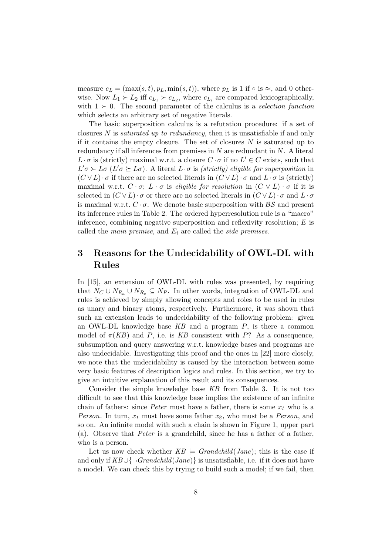measure  $c_L = (\max(s, t), p_L, \min(s, t))$ , where  $p_L$  is 1 if  $\circ$  is  $\approx$ , and 0 otherwise. Now  $L_1 \succ L_2$  iff  $c_{L_1} \succ c_{L_2}$ , where  $c_{L_i}$  are compared lexicographically, with  $1 \succ 0$ . The second parameter of the calculus is a selection function which selects an arbitrary set of negative literals.

The basic superposition calculus is a refutation procedure: if a set of closures N is saturated up to redundancy, then it is unsatisfiable if and only if it contains the empty closure. The set of closures  $N$  is saturated up to redundancy if all inferences from premises in  $N$  are redundant in  $N$ . A literal  $L \cdot \sigma$  is (strictly) maximal w.r.t. a closure  $C \cdot \sigma$  if no  $L' \in C$  exists, such that  $L' \sigma \succ L \sigma$  ( $L' \sigma \succeq L \sigma$ ). A literal  $L \cdot \sigma$  is *(strictly) eligible for superposition* in  $(C \vee L) \cdot \sigma$  if there are no selected literals in  $(C \vee L) \cdot \sigma$  and  $L \cdot \sigma$  is (strictly) maximal w.r.t.  $C \cdot \sigma$ ;  $L \cdot \sigma$  is *eligible for resolution* in  $(C \vee L) \cdot \sigma$  if it is selected in  $(C \vee L) \cdot \sigma$  or there are no selected literals in  $(C \vee L) \cdot \sigma$  and  $L \cdot \sigma$ is maximal w.r.t.  $C \cdot \sigma$ . We denote basic superposition with  $\beta S$  and present its inference rules in Table 2. The ordered hyperresolution rule is a "macro" inference, combining negative superposition and reflexivity resolution;  $E$  is called the *main premise*, and  $E_i$  are called the *side premises*.

# 3 Reasons for the Undecidability of OWL-DL with Rules

In [15], an extension of OWL-DL with rules was presented, by requiring that  $N_C \cup N_{R_a} \cup N_{R_c} \subseteq N_P$ . In other words, integration of OWL-DL and rules is achieved by simply allowing concepts and roles to be used in rules as unary and binary atoms, respectively. Furthermore, it was shown that such an extension leads to undecidability of the following problem: given an OWL-DL knowledge base  $KB$  and a program  $P$ , is there a common model of  $\pi(KB)$  and P, i.e. is KB consistent with P? As a consequence, subsumption and query answering w.r.t. knowledge bases and programs are also undecidable. Investigating this proof and the ones in [22] more closely, we note that the undecidability is caused by the interaction between some very basic features of description logics and rules. In this section, we try to give an intuitive explanation of this result and its consequences.

Consider the simple knowledge base KB from Table 3. It is not too difficult to see that this knowledge base implies the existence of an infinite chain of fathers: since *Peter* must have a father, there is some  $x_1$  who is a *Person.* In turn,  $x_1$  must have some father  $x_2$ , who must be a *Person*, and so on. An infinite model with such a chain is shown in Figure 1, upper part (a). Observe that *Peter* is a grandchild, since he has a father of a father, who is a person.

Let us now check whether  $KB \models Grandchild(Jane)$ ; this is the case if and only if  $KB \cup \{\neg Grandchild(Jane)\}\$ is unsatisfiable, i.e. if it does not have a model. We can check this by trying to build such a model; if we fail, then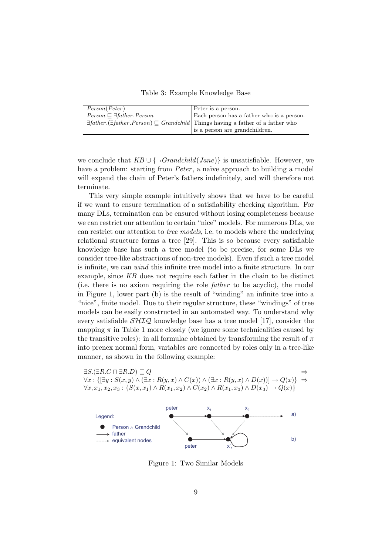Table 3: Example Knowledge Base

| Person(Peter)                            | Peter is a person.                                                                                           |
|------------------------------------------|--------------------------------------------------------------------------------------------------------------|
| $Person \sqsubset \exists father.Person$ | Each person has a father who is a person.                                                                    |
|                                          | $\exists father.(\exists father. Person) \sqsubseteq Grandchild \mid Things having a father of a father who$ |
|                                          | is a person are grandchildren.                                                                               |

we conclude that  $KB \cup \{\neg Grandchild(Jane)\}\$ is unsatisfiable. However, we have a problem: starting from *Peter*, a naïve approach to building a model will expand the chain of Peter's fathers indefinitely, and will therefore not terminate.

This very simple example intuitively shows that we have to be careful if we want to ensure termination of a satisfiability checking algorithm. For many DLs, termination can be ensured without losing completeness because we can restrict our attention to certain "nice" models. For numerous DLs, we can restrict our attention to tree models, i.e. to models where the underlying relational structure forms a tree [29]. This is so because every satisfiable knowledge base has such a tree model (to be precise, for some DLs we consider tree-like abstractions of non-tree models). Even if such a tree model is infinite, we can wind this infinite tree model into a finite structure. In our example, since KB does not require each father in the chain to be distinct (i.e. there is no axiom requiring the role father to be acyclic), the model in Figure 1, lower part (b) is the result of "winding" an infinite tree into a "nice", finite model. Due to their regular structure, these "windings" of tree models can be easily constructed in an automated way. To understand why every satisfiable  $\mathcal{SHIQ}$  knowledge base has a tree model [17], consider the mapping  $\pi$  in Table 1 more closely (we ignore some technicalities caused by the transitive roles): in all formulae obtained by transforming the result of  $\pi$ into prenex normal form, variables are connected by roles only in a tree-like manner, as shown in the following example:

 $\exists S.(\exists R.C \sqcap \exists R.D) \sqsubset Q$  ⇒  $\forall x : \{[\exists y : S(x, y) \land (\exists x : R(y, x) \land C(x)) \land (\exists x : R(y, x) \land D(x))] \rightarrow Q(x)\} \Rightarrow$  $\forall x, x_1, x_2, x_3 : \{ S(x, x_1) \land R(x_1, x_2) \land C(x_2) \land R(x_1, x_3) \land D(x_3) \rightarrow Q(x) \}$ 



Figure 1: Two Similar Models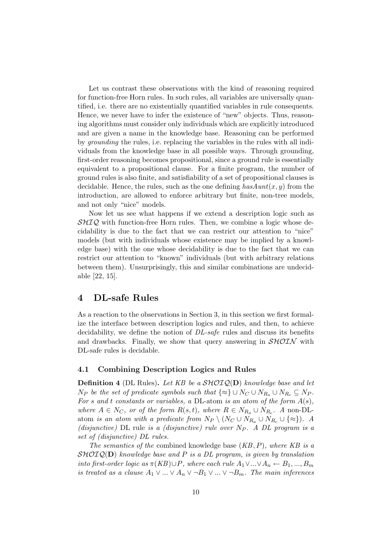Let us contrast these observations with the kind of reasoning required for function-free Horn rules. In such rules, all variables are universally quantified, i.e. there are no existentially quantified variables in rule consequents. Hence, we never have to infer the existence of "new" objects. Thus, reasoning algorithms must consider only individuals which are explicitly introduced and are given a name in the knowledge base. Reasoning can be performed by grounding the rules, i.e. replacing the variables in the rules with all individuals from the knowledge base in all possible ways. Through grounding, first-order reasoning becomes propositional, since a ground rule is essentially equivalent to a propositional clause. For a finite program, the number of ground rules is also finite, and satisfiability of a set of propositional clauses is decidable. Hence, the rules, such as the one defining  $hasAunt(x, y)$  from the introduction, are allowed to enforce arbitrary but finite, non-tree models, and not only "nice" models.

Now let us see what happens if we extend a description logic such as  $\mathcal{SHIQ}$  with function-free Horn rules. Then, we combine a logic whose decidability is due to the fact that we can restrict our attention to "nice" models (but with individuals whose existence may be implied by a knowledge base) with the one whose decidability is due to the fact that we can restrict our attention to "known" individuals (but with arbitrary relations between them). Unsurprisingly, this and similar combinations are undecidable [22, 15].

# 4 DL-safe Rules

As a reaction to the observations in Section 3, in this section we first formalize the interface between description logics and rules, and then, to achieve decidability, we define the notion of DL-safe rules and discuss its benefits and drawbacks. Finally, we show that query answering in  $\mathcal{SHOIN}$  with DL-safe rules is decidable.

## 4.1 Combining Description Logics and Rules

**Definition 4** (DL Rules). Let KB be a  $\mathcal{SHOLQ}(\mathbf{D})$  knowledge base and let  $N_P$  be the set of predicate symbols such that  $\{\approx\} \cup N_C \cup N_{R_a} \cup N_{R_c} \subseteq N_P$ . For s and t constants or variables, a DL-atom is an atom of the form  $A(s)$ , where  $A \in N_C$ , or of the form  $R(s,t)$ , where  $R \in N_{R_a} \cup N_{R_c}$ . A non-DLatom is an atom with a predicate from  $N_P \setminus (N_C \cup N_{R_a} \cup N_{R_c} \cup \{\approx\})$ . A (disjunctive) DL rule is a (disjunctive) rule over  $N_P$ . A DL program is a set of (disjunctive) DL rules.

The semantics of the combined knowledge base  $(KB, P)$ , where KB is a  $\mathcal{SHOIQ}(\mathbf{D})$  knowledge base and P is a DL program, is given by translation into first-order logic as  $\pi(KB) \cup P$ , where each rule  $A_1 \vee ... \vee A_n \leftarrow B_1, ..., B_m$ is treated as a clause  $A_1 \vee ... \vee A_n \vee \neg B_1 \vee ... \vee \neg B_m$ . The main inferences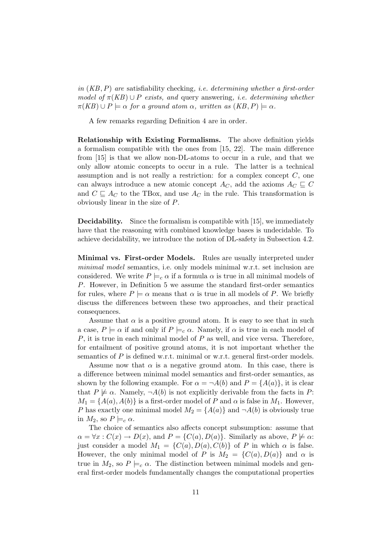in  $(KB, P)$  are satisfiability checking, *i.e. determining whether a first-order* model of  $\pi(KB) \cup P$  exists, and query answering, *i.e.* determining whether  $\pi(KB) \cup P \models \alpha$  for a ground atom  $\alpha$ , written as  $(KB, P) \models \alpha$ .

A few remarks regarding Definition 4 are in order.

Relationship with Existing Formalisms. The above definition yields a formalism compatible with the ones from [15, 22]. The main difference from [15] is that we allow non-DL-atoms to occur in a rule, and that we only allow atomic concepts to occur in a rule. The latter is a technical assumption and is not really a restriction: for a complex concept  $C$ , one can always introduce a new atomic concept  $A_C$ , add the axioms  $A_C \subseteq C$ and  $C \subseteq A_C$  to the TBox, and use  $A_C$  in the rule. This transformation is obviously linear in the size of P.

Decidability. Since the formalism is compatible with [15], we immediately have that the reasoning with combined knowledge bases is undecidable. To achieve decidability, we introduce the notion of DL-safety in Subsection 4.2.

Minimal vs. First-order Models. Rules are usually interpreted under minimal model semantics, i.e. only models minimal w.r.t. set inclusion are considered. We write  $P \models_c \alpha$  if a formula  $\alpha$  is true in all minimal models of P. However, in Definition 5 we assume the standard first-order semantics for rules, where  $P \models \alpha$  means that  $\alpha$  is true in all models of P. We briefly discuss the differences between these two approaches, and their practical consequences.

Assume that  $\alpha$  is a positive ground atom. It is easy to see that in such a case,  $P \models \alpha$  if and only if  $P \models_c \alpha$ . Namely, if  $\alpha$  is true in each model of  $P$ , it is true in each minimal model of  $P$  as well, and vice versa. Therefore, for entailment of positive ground atoms, it is not important whether the semantics of P is defined w.r.t. minimal or w.r.t. general first-order models.

Assume now that  $\alpha$  is a negative ground atom. In this case, there is a difference between minimal model semantics and first-order semantics, as shown by the following example. For  $\alpha = \neg A(b)$  and  $P = \{A(a)\}\$ , it is clear that  $P \not\models \alpha$ . Namely,  $\neg A(b)$  is not explicitly derivable from the facts in P:  $M_1 = \{A(a), A(b)\}\$ is a first-order model of P and  $\alpha$  is false in  $M_1$ . However, P has exactly one minimal model  $M_2 = \{A(a)\}\$ and  $\neg A(b)$  is obviously true in  $M_2$ , so  $P \models_c \alpha$ .

The choice of semantics also affects concept subsumption: assume that  $\alpha = \forall x : C(x) \to D(x)$ , and  $P = \{C(a), D(a)\}\$ . Similarly as above,  $P \not\models \alpha$ : just consider a model  $M_1 = \{C(a), D(a), C(b)\}\$  of P in which  $\alpha$  is false. However, the only minimal model of P is  $M_2 = \{C(a), D(a)\}\$ and  $\alpha$  is true in  $M_2$ , so  $P \models_c \alpha$ . The distinction between minimal models and general first-order models fundamentally changes the computational properties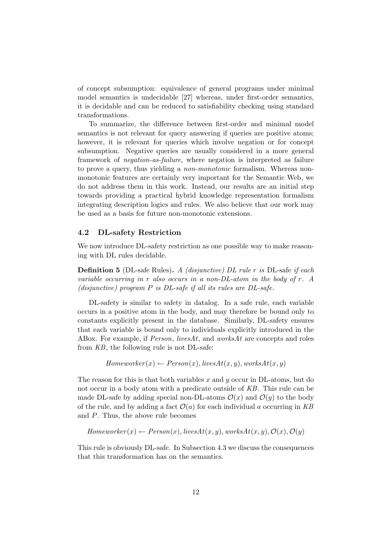of concept subsumption: equivalence of general programs under minimal model semantics is undecidable [27] whereas, under first-order semantics, it is decidable and can be reduced to satisfiability checking using standard transformations.

To summarize, the difference between first-order and minimal model semantics is not relevant for query answering if queries are positive atoms; however, it is relevant for queries which involve negation or for concept subsumption. Negative queries are usually considered in a more general framework of negation-as-failure, where negation is interpreted as failure to prove a query, thus yielding a non-monotonic formalism. Whereas nonmonotonic features are certainly very important for the Semantic Web, we do not address them in this work. Instead, our results are an initial step towards providing a practical hybrid knowledge representation formalism integrating description logics and rules. We also believe that our work may be used as a basis for future non-monotonic extensions.

### 4.2 DL-safety Restriction

We now introduce DL-safety restriction as one possible way to make reasoning with DL rules decidable.

Definition 5 (DL-safe Rules). A *(disjunctive) DL rule r is* DL-safe *if each* variable occurring in r also occurs in a non-DL-atom in the body of r. A (disjunctive) program  $P$  is  $DL$ -safe if all its rules are  $DL$ -safe.

DL-safety is similar to safety in datalog. In a safe rule, each variable occurs in a positive atom in the body, and may therefore be bound only to constants explicitly present in the database. Similarly, DL-safety ensures that each variable is bound only to individuals explicitly introduced in the ABox. For example, if *Person*, *livesAt*, and *worksAt* are concepts and roles from KB, the following rule is not DL-safe:

 $Homeworker(x) \leftarrow Person(x), livesAt(x, y), worksAt(x, y)$ 

The reason for this is that both variables  $x$  and  $y$  occur in DL-atoms, but do not occur in a body atom with a predicate outside of KB. This rule can be made DL-safe by adding special non-DL-atoms  $\mathcal{O}(x)$  and  $\mathcal{O}(y)$  to the body of the rule, and by adding a fact  $\mathcal{O}(a)$  for each individual a occurring in KB and P. Thus, the above rule becomes

 $Homeworker(x) \leftarrow Person(x), livesAt(x, y), worksAt(x, y), \mathcal{O}(x), \mathcal{O}(y)$ 

This rule is obviously DL-safe. In Subsection 4.3 we discuss the consequences that this transformation has on the semantics.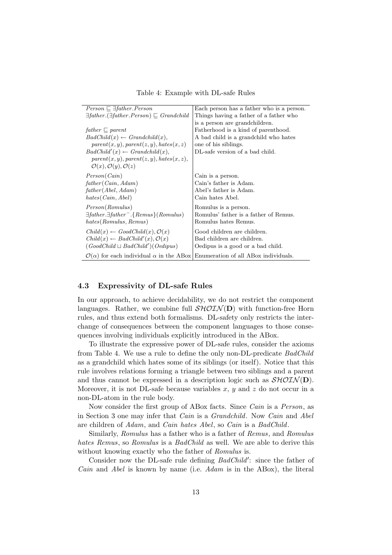|  | Table 4: Example with DL-safe Rules |  |  |  |
|--|-------------------------------------|--|--|--|
|--|-------------------------------------|--|--|--|

| $Person \sqsubset \exists father. Person$                                                           | Each person has a father who is a person. |
|-----------------------------------------------------------------------------------------------------|-------------------------------------------|
| $\exists$ father. $(\exists$ father.Person $) \sqsubset Grandchild$                                 | Things having a father of a father who    |
|                                                                                                     | is a person are grandchildren.            |
| $father \sqsubseteq parent$                                                                         | Fatherhood is a kind of parenthood.       |
| $BadChild(x) \leftarrow Grandchild(x),$                                                             | A bad child is a grandchild who hates     |
| $parent(x, y)$ , parent $(z, y)$ , hates $(x, z)$                                                   | one of his siblings.                      |
| $BadChild'(x) \leftarrow Grandchild(x),$                                                            | DL-safe version of a bad child.           |
| $parent(x, y), parent(z, y), hates(x, z),$                                                          |                                           |
| $\mathcal{O}(x)$ , $\mathcal{O}(y)$ , $\mathcal{O}(z)$                                              |                                           |
| Person(Cain)                                                                                        | Cain is a person.                         |
| father(Cain, Adam)                                                                                  | Cain's father is Adam.                    |
| father(Abel, Adam)                                                                                  | Abel's father is Adam.                    |
| hates(Cain, Abel)                                                                                   | Cain hates Abel.                          |
| <i>Person</i> ( <i>Romulus</i> )                                                                    | Romulus is a person.                      |
| $\exists father.\exists father^-.\{Remus\}(Romulus)$                                                | Romulus' father is a father of Remus.     |
| hates(Romulus, Remus)                                                                               | Romulus hates Remus.                      |
| $Child(x) \leftarrow GoodChild(x), \mathcal{O}(x)$                                                  | Good children are children.               |
| $Child(x) \leftarrow BadChild'(x), \mathcal{O}(x)$                                                  | Bad children are children.                |
| $(GoodChild \sqcup BadChild')(Oedipus)$                                                             | Oedipus is a good or a bad child.         |
| $\mathcal{O}(\alpha)$ for each individual $\alpha$ in the ABox Enumeration of all ABox individuals. |                                           |

#### 4.3 Expressivity of DL-safe Rules

In our approach, to achieve decidability, we do not restrict the component languages. Rather, we combine full  $\mathcal{SHOIN}(\mathbf{D})$  with function-free Horn rules, and thus extend both formalisms. DL-safety only restricts the interchange of consequences between the component languages to those consequences involving individuals explicitly introduced in the ABox.

To illustrate the expressive power of DL-safe rules, consider the axioms from Table 4. We use a rule to define the only non-DL-predicate BadChild as a grandchild which hates some of its siblings (or itself). Notice that this rule involves relations forming a triangle between two siblings and a parent and thus cannot be expressed in a description logic such as  $\mathcal{SHOIN}(\mathbf{D})$ . Moreover, it is not DL-safe because variables  $x, y$  and  $z$  do not occur in a non-DL-atom in the rule body.

Now consider the first group of ABox facts. Since Cain is a Person, as in Section 3 one may infer that Cain is a Grandchild. Now Cain and Abel are children of Adam, and Cain hates Abel, so Cain is a BadChild.

Similarly, Romulus has a father who is a father of Remus, and Romulus hates Remus, so Romulus is a BadChild as well. We are able to derive this without knowing exactly who the father of Romulus is.

Consider now the DL-safe rule defining BadChild': since the father of *Cain* and *Abel* is known by name (i.e.  $Adam$  is in the ABox), the literal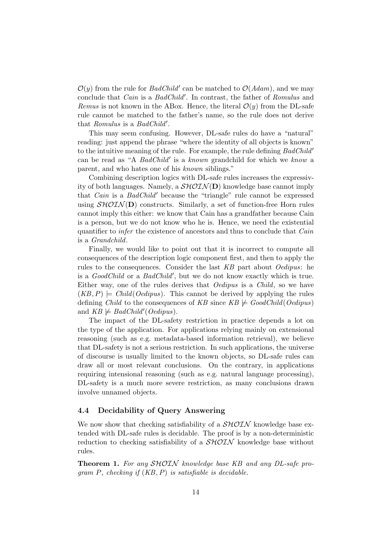$\mathcal{O}(y)$  from the rule for BadChild' can be matched to  $\mathcal{O}(Adam)$ , and we may conclude that *Cain* is a BadChild'. In contrast, the father of *Romulus* and Remus is not known in the ABox. Hence, the literal  $\mathcal{O}(y)$  from the DL-safe rule cannot be matched to the father's name, so the rule does not derive that Romulus is a BadChild'.

This may seem confusing. However, DL-safe rules do have a "natural" reading: just append the phrase "where the identity of all objects is known" to the intuitive meaning of the rule. For example, the rule defining  $BadChild'$ can be read as "A *BadChild'* is a known grandchild for which we know a parent, and who hates one of his known siblings."

Combining description logics with DL-safe rules increases the expressivity of both languages. Namely, a  $\mathcal{SHOLN}(\mathbf{D})$  knowledge base cannot imply that Cain is a BadChild′ because the "triangle" rule cannot be expressed using  $\mathcal{SHOIN}(\mathbf{D})$  constructs. Similarly, a set of function-free Horn rules cannot imply this either: we know that Cain has a grandfather because Cain is a person, but we do not know who he is. Hence, we need the existential quantifier to *infer* the existence of ancestors and thus to conclude that *Cain* is a Grandchild.

Finally, we would like to point out that it is incorrect to compute all consequences of the description logic component first, and then to apply the rules to the consequences. Consider the last KB part about Oedipus: he is a GoodChild or a BadChild', but we do not know exactly which is true. Either way, one of the rules derives that Oedipus is a Child, so we have  $(KB, P) \models Child(Oedinus)$ . This cannot be derived by applying the rules defining Child to the consequences of KB since  $KB \not\models GoodChild(Oedipus)$ and  $KB \not\models BadChild'(Oedipus).$ 

The impact of the DL-safety restriction in practice depends a lot on the type of the application. For applications relying mainly on extensional reasoning (such as e.g. metadata-based information retrieval), we believe that DL-safety is not a serious restriction. In such applications, the universe of discourse is usually limited to the known objects, so DL-safe rules can draw all or most relevant conclusions. On the contrary, in applications requiring intensional reasoning (such as e.g. natural language processing), DL-safety is a much more severe restriction, as many conclusions drawn involve unnamed objects.

## 4.4 Decidability of Query Answering

We now show that checking satisfiability of a  $\mathcal{SHOLN}$  knowledge base extended with DL-safe rules is decidable. The proof is by a non-deterministic reduction to checking satisfiability of a  $\mathcal{SHOIN}$  knowledge base without rules.

Theorem 1. For any SHOIN knowledge base KB and any DL-safe program  $P$ , checking if  $(KB, P)$  is satisfiable is decidable.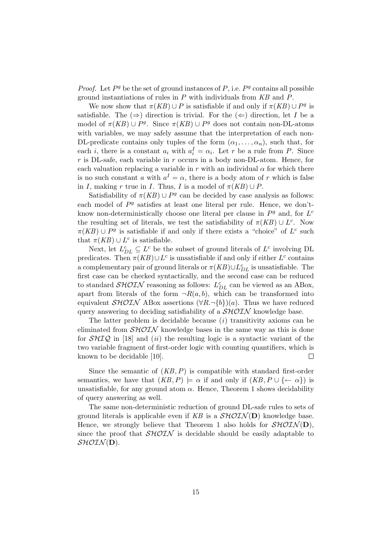*Proof.* Let  $P<sup>g</sup>$  be the set of ground instances of P, i.e.  $P<sup>g</sup>$  contains all possible ground instantiations of rules in  $P$  with individuals from  $KB$  and  $P$ .

We now show that  $\pi(KB) \cup P$  is satisfiable if and only if  $\pi(KB) \cup P^g$  is satisfiable. The  $(\Rightarrow)$  direction is trivial. For the  $(\Leftarrow)$  direction, let I be a model of  $\pi(KB) \cup P^g$ . Since  $\pi(KB) \cup P^g$  does not contain non-DL-atoms with variables, we may safely assume that the interpretation of each non-DL-predicate contains only tuples of the form  $(\alpha_1, \ldots, \alpha_n)$ , such that, for each *i*, there is a constant  $a_i$  with  $a_i^I = \alpha_i$ . Let *r* be a rule from *P*. Since  $r$  is DL-safe, each variable in  $r$  occurs in a body non-DL-atom. Hence, for each valuation replacing a variable in r with an individual  $\alpha$  for which there is no such constant a with  $a^I = \alpha$ , there is a body atom of r which is false in I, making r true in I. Thus, I is a model of  $\pi(KB) \cup P$ .

Satisfiability of  $\pi(KB) \cup P^g$  can be decided by case analysis as follows: each model of  $P<sup>g</sup>$  satisfies at least one literal per rule. Hence, we don'tknow non-deterministically choose one literal per clause in  $P<sup>g</sup>$  and, for  $L<sup>c</sup>$ the resulting set of literals, we test the satisfiability of  $\pi(KB) \cup L^c$ . Now  $\pi(KB) \cup P^g$  is satisfiable if and only if there exists a "choice" of  $L^c$  such that  $\pi(KB) \cup L^c$  is satisfiable.

Next, let  $L_{DL}^c \subseteq L^c$  be the subset of ground literals of  $L^c$  involving DL predicates. Then  $\pi(KB) \cup L^c$  is unsatisfiable if and only if either  $L^c$  contains a complementary pair of ground literals or  $\pi(KB) \cup L_{DL}^c$  is unsatisfiable. The first case can be checked syntactically, and the second case can be reduced to standard  $\mathcal{SHOIN}$  reasoning as follows:  $L_{DL}^c$  can be viewed as an ABox, apart from literals of the form  $\neg R(a, b)$ , which can be transformed into equivalent  $\mathcal{SHOIN}$  ABox assertions  $(\forall R.\neg \{b\})(a)$ . Thus we have reduced query answering to deciding satisfiability of a  $\mathcal{SHOIN}$  knowledge base.

The latter problem is decidable because  $(i)$  transitivity axioms can be eliminated from  $\mathcal{SHOLN}$  knowledge bases in the same way as this is done for  $\mathcal{SHIQ}$  in [18] and (ii) the resulting logic is a syntactic variant of the two variable fragment of first-order logic with counting quantifiers, which is known to be decidable [10].  $\Box$ 

Since the semantic of  $(KB, P)$  is compatible with standard first-order semantics, we have that  $(KB, P) \models \alpha$  if and only if  $(KB, P \cup \{\leftarrow \alpha\})$  is unsatisfiable, for any ground atom  $\alpha$ . Hence, Theorem 1 shows decidability of query answering as well.

The same non-deterministic reduction of ground DL-safe rules to sets of ground literals is applicable even if KB is a  $\mathcal{SHOIN}(\mathbf{D})$  knowledge base. Hence, we strongly believe that Theorem 1 also holds for  $\mathcal{SHOIN}(\mathbf{D})$ , since the proof that  $\mathcal{SHOIN}$  is decidable should be easily adaptable to  $\mathcal{SHOIN}(\mathbf{D}).$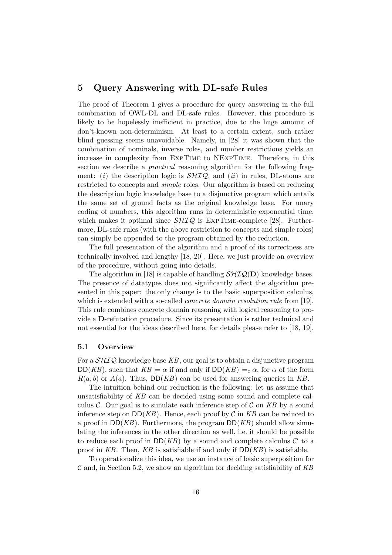# 5 Query Answering with DL-safe Rules

The proof of Theorem 1 gives a procedure for query answering in the full combination of OWL-DL and DL-safe rules. However, this procedure is likely to be hopelessly inefficient in practice, due to the huge amount of don't-known non-determinism. At least to a certain extent, such rather blind guessing seems unavoidable. Namely, in [28] it was shown that the combination of nominals, inverse roles, and number restrictions yields an increase in complexity from ExpTime to NExpTime. Therefore, in this section we describe a practical reasoning algorithm for the following fragment: (i) the description logic is  $\mathcal{SHIQ}$ , and (ii) in rules, DL-atoms are restricted to concepts and simple roles. Our algorithm is based on reducing the description logic knowledge base to a disjunctive program which entails the same set of ground facts as the original knowledge base. For unary coding of numbers, this algorithm runs in deterministic exponential time, which makes it optimal since  $\mathcal{SHTQ}$  is EXPTIME-complete [28]. Furthermore, DL-safe rules (with the above restriction to concepts and simple roles) can simply be appended to the program obtained by the reduction.

The full presentation of the algorithm and a proof of its correctness are technically involved and lengthy [18, 20]. Here, we just provide an overview of the procedure, without going into details.

The algorithm in [18] is capable of handling  $\mathcal{SHIQ}(\mathbf{D})$  knowledge bases. The presence of datatypes does not significantly affect the algorithm presented in this paper: the only change is to the basic superposition calculus, which is extended with a so-called *concrete domain resolution rule* from [19]. This rule combines concrete domain reasoning with logical reasoning to provide a D-refutation procedure. Since its presentation is rather technical and not essential for the ideas described here, for details please refer to [18, 19].

#### 5.1 Overview

For a  $\mathcal{SHIQ}$  knowledge base KB, our goal is to obtain a disjunctive program  $DD(KB)$ , such that  $KB \models \alpha$  if and only if  $DD(KB) \models_c \alpha$ , for  $\alpha$  of the form  $R(a, b)$  or  $A(a)$ . Thus,  $DD(KB)$  can be used for answering queries in KB.

The intuition behind our reduction is the following: let us assume that unsatisfiability of KB can be decided using some sound and complete calculus C. Our goal is to simulate each inference step of C on  $KB$  by a sound inference step on  $DD(KB)$ . Hence, each proof by C in KB can be reduced to a proof in  $DD(KB)$ . Furthermore, the program  $DD(KB)$  should allow simulating the inferences in the other direction as well, i.e. it should be possible to reduce each proof in  $DD(KB)$  by a sound and complete calculus  $\mathcal{C}'$  to a proof in  $KB$ . Then,  $KB$  is satisfiable if and only if  $DD(KB)$  is satisfiable.

To operationalize this idea, we use an instance of basic superposition for  $\mathcal C$  and, in Section 5.2, we show an algorithm for deciding satisfiability of KB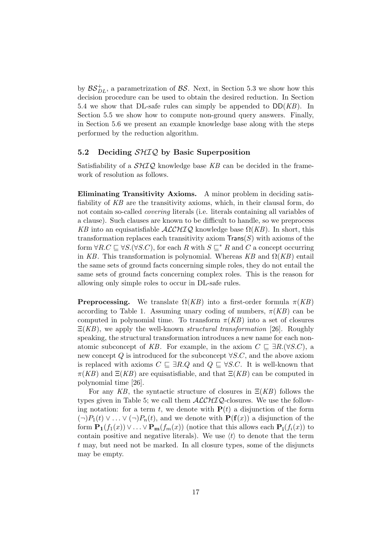by  $BS_{DL}^+$ , a parametrization of  $BS$ . Next, in Section 5.3 we show how this decision procedure can be used to obtain the desired reduction. In Section 5.4 we show that DL-safe rules can simply be appended to  $DD(KB)$ . In Section 5.5 we show how to compute non-ground query answers. Finally, in Section 5.6 we present an example knowledge base along with the steps performed by the reduction algorithm.

## 5.2 Deciding  $\mathcal{SHIQ}$  by Basic Superposition

Satisfiability of a  $\mathcal{SHIQ}$  knowledge base KB can be decided in the framework of resolution as follows.

Eliminating Transitivity Axioms. A minor problem in deciding satisfiability of KB are the transitivity axioms, which, in their clausal form, do not contain so-called covering literals (i.e. literals containing all variables of a clause). Such clauses are known to be difficult to handle, so we preprocess KB into an equisatisfiable  $\mathcal{ALCHIQ}$  knowledge base  $\Omega(KB)$ . In short, this transformation replaces each transitivity axiom  $Trans(S)$  with axioms of the form  $\forall R.C \sqsubseteq \forall S.(\forall S.C)$ , for each R with  $S \sqsubseteq^* R$  and C a concept occurring in KB. This transformation is polynomial. Whereas KB and  $\Omega(KB)$  entail the same sets of ground facts concerning simple roles, they do not entail the same sets of ground facts concerning complex roles. This is the reason for allowing only simple roles to occur in DL-safe rules.

**Preprocessing.** We translate  $\Omega(KB)$  into a first-order formula  $\pi(KB)$ according to Table 1. Assuming unary coding of numbers,  $\pi(KB)$  can be computed in polynomial time. To transform  $\pi(KB)$  into a set of closures  $\Xi(KB)$ , we apply the well-known *structural transformation* [26]. Roughly speaking, the structural transformation introduces a new name for each nonatomic subconcept of KB. For example, in the axiom  $C \subseteq \exists R.(\forall S.C)$ , a new concept  $Q$  is introduced for the subconcept  $\forall S.C$ , and the above axiom is replaced with axioms  $C \subseteq \exists R.Q$  and  $Q \subseteq \forall S.C$ . It is well-known that  $\pi(KB)$  and  $\Xi(KB)$  are equisatisfiable, and that  $\Xi(KB)$  can be computed in polynomial time [26].

For any KB, the syntactic structure of closures in  $\Xi(KB)$  follows the types given in Table 5; we call them  $\text{ALCHIO}$ -closures. We use the following notation: for a term t, we denote with  $P(t)$  a disjunction of the form  $(\neg)P_1(t) \vee \ldots \vee (\neg)P_n(t)$ , and we denote with  $\mathbf{P}(\mathbf{f}(x))$  a disjunction of the form  $\mathbf{P_1}(f_1(x)) \vee \ldots \vee \mathbf{P_m}(f_m(x))$  (notice that this allows each  $\mathbf{P_i}(f_i(x))$  to contain positive and negative literals). We use  $\langle t \rangle$  to denote that the term t may, but need not be marked. In all closure types, some of the disjuncts may be empty.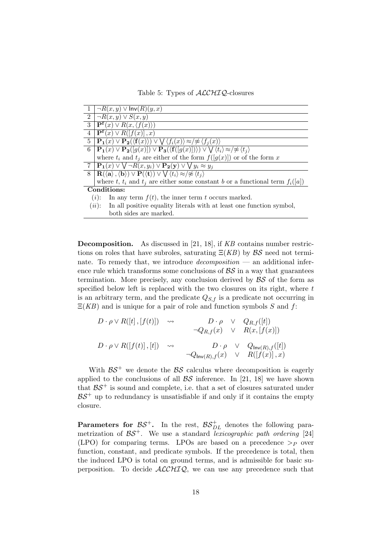Table 5: Types of  $\text{ALCHIQ-}\text{closures}$ 

|                | $\neg R(x, y) \vee \text{Inv}(R)(y, x)$                                                                                                                                                           |
|----------------|---------------------------------------------------------------------------------------------------------------------------------------------------------------------------------------------------|
| $\overline{2}$ | $\overline{\neg R(x,y)\vee S(x,y)}$                                                                                                                                                               |
| 3              | $\left  \mathbf{P}^{\mathbf{f}}(x) \vee R(x, \langle f(x) \rangle) \right $                                                                                                                       |
| $\overline{4}$ | $\mathbf{P}^{\mathbf{f}}(x) \vee R([f(x)], x)$                                                                                                                                                    |
| $5^{\circ}$    | $\boxed{\mathbf{P_1}(x) \vee \mathbf{P_2}(\langle \mathbf{f}(x) \rangle) \vee \bigvee \langle f_i(x) \rangle \approx / \mathcal{F} \langle f_i(x) \rangle}$                                       |
| 6              | $ \mathbf{P_1}(x) \vee \mathbf{P_2}([g(x)]) \vee \mathbf{P_3}(\langle \mathbf{f}([g(x)] \rangle) \vee \bigvee \langle t_i \rangle \approx / \mathcal{Z} \langle t_i \rangle)$                     |
|                | where $t_i$ and $t_j$ are either of the form $f([g(x)])$ or of the form x                                                                                                                         |
|                | $7 \mathbf{P}_1(x) \vee \bigvee \neg R(x,y_i) \vee \mathbf{P}_2(\mathbf{y}) \vee \bigvee y_i \approx y_i$                                                                                         |
| 8              | $\ket{\mathbf{R}(\langle \mathbf{a} \rangle, \langle \mathbf{b} \rangle)} \vee \mathbf{P}(\langle \mathbf{t} \rangle) \vee \bigvee \langle t_i \rangle \approx / \mathcal{Z} \langle t_i \rangle$ |
|                | where t, $t_i$ and $t_j$ are either some constant b or a functional term $f_i([a])$                                                                                                               |
|                | Conditions:                                                                                                                                                                                       |
|                | $(i)$ : In any term $f(t)$ , the inner term t occurs marked.                                                                                                                                      |

 $(ii):$  In all positive equality literals with at least one function symbol, both sides are marked.

Decomposition. As discussed in [21, 18], if KB contains number restrictions on roles that have subroles, saturating  $\Xi(KB)$  by  $\mathcal{BS}$  need not terminate. To remedy that, we introduce *decomposition* — an additional inference rule which transforms some conclusions of  $BS$  in a way that guarantees termination. More precisely, any conclusion derived by  $\beta S$  of the form as specified below left is replaced with the two closures on its right, where  $t$ is an arbitrary term, and the predicate  $Q_{S,f}$  is a predicate not occurring in  $\Xi(KB)$  and is unique for a pair of role and function symbols S and f:

$$
D \cdot \rho \vee R([t], [f(t)]) \quad \leadsto \quad D \cdot \rho \quad \vee \quad Q_{R,f}([t])
$$
\n
$$
\neg Q_{R,f}(x) \quad \vee \quad R(x, [f(x)])
$$
\n
$$
D \cdot \rho \vee R([f(t)], [t]) \quad \leadsto \quad D \cdot \rho \quad \vee \quad Q_{\text{Inv}(R),f}([t])
$$
\n
$$
\neg Q_{\text{Inv}(R),f}(x) \quad \vee \quad R([f(x)], x)
$$

With  $BS^+$  we denote the BS calculus where decomposition is eagerly applied to the conclusions of all  $\beta S$  inference. In [21, 18] we have shown that  $BS^+$  is sound and complete, i.e. that a set of closures saturated under  $BS^+$  up to redundancy is unsatisfiable if and only if it contains the empty closure.

**Parameters for**  $BS^+$ **.** In the rest,  $BS^+_{DL}$  denotes the following parametrization of  $BS^+$ . We use a standard *lexicographic path ordering* [24] (LPO) for comparing terms. LPOs are based on a precedence  $\geq_P$  over function, constant, and predicate symbols. If the precedence is total, then the induced LPO is total on ground terms, and is admissible for basic superposition. To decide  $ALCHIQ$ , we can use any precedence such that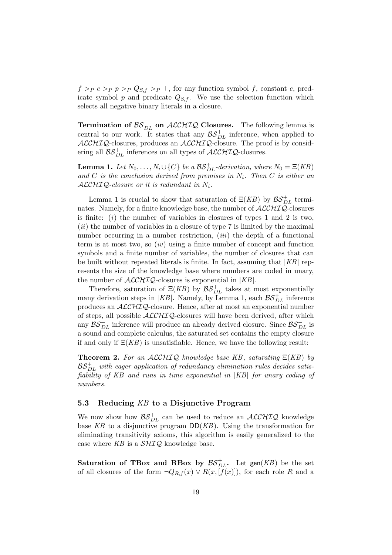$f >_P c >_P p >_P Q_{S,f} >_P \top$ , for any function symbol f, constant c, predicate symbol p and predicate  $Q_{S,f}$ . We use the selection function which selects all negative binary literals in a closure.

**Termination of**  $BS_{DL}^+$  **on**  $ALCHIQ$  **Closures.** The following lemma is central to our work. It states that any  $\mathcal{BS}_{DL}^+$  inference, when applied to ALCHIQ-closures, produces an ALCHIQ-closure. The proof is by considering all  $\mathcal{BS}_{DL}^+$  inferences on all types of  $\mathcal{ALCHIQ}\text{-}\mathrm{closures.}$ 

**Lemma 1.** Let  $N_0, \ldots, N_i \cup \{C\}$  be a  $\mathcal{BS}_{DL}^+$ -derivation, where  $N_0 = \Xi(KB)$ and C is the conclusion derived from premises in  $N_i$ . Then C is either an  $\mathcal{ALCHIQ}\text{-closure or it is redundant in } N_i.$ 

Lemma 1 is crucial to show that saturation of  $\Xi(KB)$  by  $\mathcal{BS}_{DL}^+$  terminates. Namely, for a finite knowledge base, the number of ALCHIQ-closures is finite:  $(i)$  the number of variables in closures of types 1 and 2 is two,  $(ii)$  the number of variables in a closure of type 7 is limited by the maximal number occurring in a number restriction,  $(iii)$  the depth of a functional term is at most two, so  $(iv)$  using a finite number of concept and function symbols and a finite number of variables, the number of closures that can be built without repeated literals is finite. In fact, assuming that  $|KB|$  represents the size of the knowledge base where numbers are coded in unary, the number of  $\mathcal{ALCHIQ}$ -closures is exponential in |KB|.

Therefore, saturation of  $\Xi(KB)$  by  $\mathcal{BS}_{DL}^+$  takes at most exponentially many derivation steps in |KB|. Namely, by Lemma 1, each  $BS_{DL}^{+}$  inference produces an  $\mathcal{ALCHIQ}$ -closure. Hence, after at most an exponential number of steps, all possible  $\text{ALCHIQ-}\text{c}$  losures will have been derived, after which any  $\mathcal{BS}_{DL}^+$  inference will produce an already derived closure. Since  $\mathcal{BS}_{DL}^+$  is a sound and complete calculus, the saturated set contains the empty closure if and only if  $\Xi(KB)$  is unsatisfiable. Hence, we have the following result:

**Theorem 2.** For an  $ALCHIQ$  knowledge base KB, saturating  $E(KB)$  by  $\mathcal{BS}_{DL}^+$  with eager application of redundancy elimination rules decides satisfiability of KB and runs in time exponential in |KB| for unary coding of numbers.

## 5.3 Reducing KB to a Disjunctive Program

We now show how  $\mathcal{BS}_{DL}^+$  can be used to reduce an  $\mathcal{ALCHIQ}$  knowledge base KB to a disjunctive program  $DD(KB)$ . Using the transformation for eliminating transitivity axioms, this algorithm is easily generalized to the case where  $KB$  is a  $\mathcal{SHTQ}$  knowledge base.

Saturation of TBox and RBox by  $\mathcal{BS}_{DL}^+$ . Let gen(*KB*) be the set of all closures of the form  $\neg Q_{R,f}(x) \lor R(x,[f(x)])$ , for each role R and a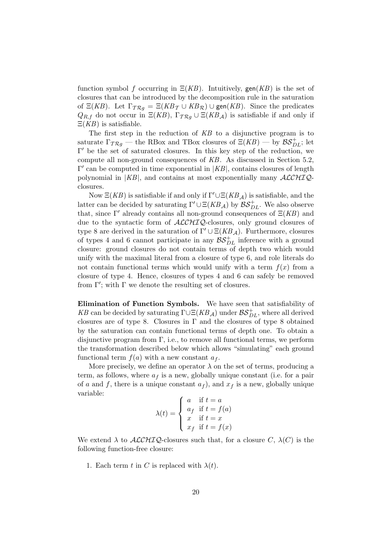function symbol f occurring in  $\Xi(KB)$ . Intuitively, gen(KB) is the set of closures that can be introduced by the decomposition rule in the saturation of  $\Xi(KB)$ . Let  $\Gamma_{T\mathcal{R}g} = \Xi(KB_{\mathcal{T}} \cup KB_{\mathcal{R}}) \cup \text{gen}(KB)$ . Since the predicates  $Q_{R,f}$  do not occur in  $\Xi(KB)$ ,  $\Gamma_{TRg} \cup \Xi(KB_{\mathcal{A}})$  is satisfiable if and only if  $\Xi(KB)$  is satisfiable.

The first step in the reduction of KB to a disjunctive program is to saturate  $\Gamma_{\mathcal{TR}g}$  — the RBox and TBox closures of  $\Xi(KB)$  — by  $\mathcal{BS}_{DL}^+$ ; let Γ ′ be the set of saturated closures. In this key step of the reduction, we compute all non-ground consequences of KB. As discussed in Section 5.2,  $\Gamma'$  can be computed in time exponential in  $|KB|$ , contains closures of length polynomial in  $|KB|$ , and contains at most exponentially many  $\mathcal{ALCHIO}$ closures.

Now  $\Xi(KB)$  is satisfiable if and only if  $\Gamma' \cup \Xi(KB_{\mathcal{A}})$  is satisfiable, and the latter can be decided by saturating  $\Gamma' \cup \Xi(KB_A)$  by  $\mathcal{BS}_{DL}^+$ . We also observe that, since Γ' already contains all non-ground consequences of  $\Xi(KB)$  and due to the syntactic form of  $\text{ALCHIQ-c}$ -closures, only ground closures of type 8 are derived in the saturation of  $\Gamma' \cup \Xi(KB_{\mathcal{A}})$ . Furthermore, closures of types 4 and 6 cannot participate in any  $\mathcal{BS}_{DL}^+$  inference with a ground closure: ground closures do not contain terms of depth two which would unify with the maximal literal from a closure of type 6, and role literals do not contain functional terms which would unify with a term  $f(x)$  from a closure of type 4. Hence, closures of types 4 and 6 can safely be removed from  $\Gamma'$ ; with  $\Gamma$  we denote the resulting set of closures.

Elimination of Function Symbols. We have seen that satisfiability of KB can be decided by saturating  $\Gamma \cup \Xi(KB_\mathcal{A})$  under  $\mathcal{BS}_{DL}^+$ , where all derived closures are of type 8. Closures in  $\Gamma$  and the closures of type 8 obtained by the saturation can contain functional terms of depth one. To obtain a disjunctive program from  $\Gamma$ , i.e., to remove all functional terms, we perform the transformation described below which allows "simulating" each ground functional term  $f(a)$  with a new constant  $a_f$ .

More precisely, we define an operator  $\lambda$  on the set of terms, producing a term, as follows, where  $a_f$  is a new, globally unique constant (i.e. for a pair of a and f, there is a unique constant  $a_f$ , and  $x_f$  is a new, globally unique variable:

$$
\lambda(t) = \begin{cases}\n a & \text{if } t = a \\
a_f & \text{if } t = f(a) \\
x & \text{if } t = x \\
x_f & \text{if } t = f(x)\n\end{cases}
$$

We extend  $\lambda$  to  $\mathcal{ALCHIQ}$ -closures such that, for a closure  $C, \lambda(C)$  is the following function-free closure:

1. Each term t in C is replaced with  $\lambda(t)$ .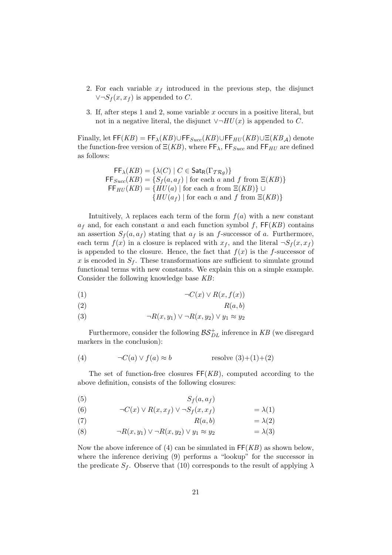- 2. For each variable  $x<sub>f</sub>$  introduced in the previous step, the disjunct  $\vee \neg S_f(x, x_f)$  is appended to C.
- 3. If, after steps 1 and 2, some variable x occurs in a positive literal, but not in a negative literal, the disjunct  $\vee \neg H U(x)$  is appended to C.

Finally, let  $\mathsf{FF}(KB) = \mathsf{FF}_{\lambda}(KB) \cup \mathsf{FF}_{Succ}(KB) \cup \mathsf{FF}_{HU}(KB) \cup \Xi(KB_{\mathcal{A}})$  denote the function-free version of  $\Xi(KB)$ , where  $\mathsf{FF}_{\lambda}$ ,  $\mathsf{FF}_{Succ}$  and  $\mathsf{FF}_{HU}$  are defined as follows:

$$
\begin{aligned} \mathsf{FF}_{\lambda}(KB) &= \{ \lambda(C) \mid C \in \mathsf{Sat}_{\mathsf{R}}(\Gamma_{\mathcal{TRg}}) \} \\ \mathsf{FF}_{Succ}(KB) &= \{ S_f(a, a_f) \mid \text{for each } a \text{ and } f \text{ from } \Xi(KB) \} \\ \mathsf{FF}_{HU}(KB) &= \{ HU(a) \mid \text{for each } a \text{ from } \Xi(KB) \} \cup \\ &\{ HU(a_f) \mid \text{for each } a \text{ and } f \text{ from } \Xi(KB) \} \end{aligned}
$$

Intuitively,  $\lambda$  replaces each term of the form  $f(a)$  with a new constant  $a_f$  and, for each constant a and each function symbol f,  $\mathsf{FF}(KB)$  contains an assertion  $S_f(a, a_f)$  stating that  $a_f$  is an f-successor of a. Furthermore, each term  $f(x)$  in a closure is replaced with  $x_f$ , and the literal  $\neg S_f(x, x_f)$ is appended to the closure. Hence, the fact that  $f(x)$  is the f-successor of x is encoded in  $S_f$ . These transformations are sufficient to simulate ground functional terms with new constants. We explain this on a simple example. Consider the following knowledge base KB:

$$
(1) \qquad \qquad \neg C(x) \lor R(x, f(x))
$$

$$
(2) \t\t R(a,b)
$$

(3) 
$$
\neg R(x, y_1) \lor \neg R(x, y_2) \lor y_1 \approx y_2
$$

Furthermore, consider the following  $\mathcal{BS}_{DL}^+$  inference in  $KB$  (we disregard markers in the conclusion):

(4) 
$$
\neg C(a) \lor f(a) \approx b
$$
 resolve (3)+(1)+(2)

The set of function-free closures  $FF(KB)$ , computed according to the above definition, consists of the following closures:

$$
(5) \tSf(a, af)
$$

(6) 
$$
\neg C(x) \lor R(x, x_f) \lor \neg S_f(x, x_f) = \lambda(1)
$$

$$
(7) \t R(a,b) = \lambda(2)
$$

(8) 
$$
\neg R(x, y_1) \lor \neg R(x, y_2) \lor y_1 \approx y_2 = \lambda(3)
$$

Now the above inference of (4) can be simulated in  $\mathsf{FF}(KB)$  as shown below, where the inference deriving (9) performs a "lookup" for the successor in the predicate  $S_f$ . Observe that (10) corresponds to the result of applying  $\lambda$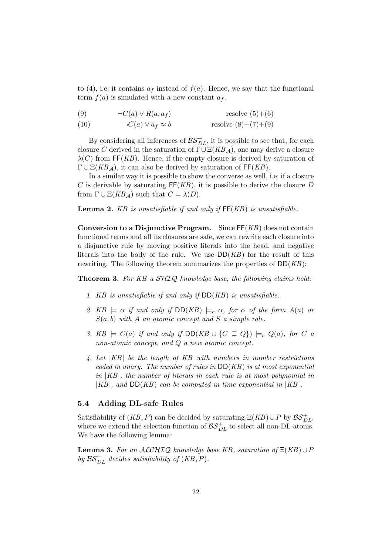to (4), i.e. it contains  $a_f$  instead of  $f(a)$ . Hence, we say that the functional term  $f(a)$  is simulated with a new constant  $a_f$ .

(9)  $\neg C(a) \vee R(a, a_f)$  resolve (5)+(6)

(10)  $\neg C(a) \lor a_f \approx b$  resolve  $(8)+(7)+(9)$ 

By considering all inferences of  $\mathcal{BS}_{DL}^+$ , it is possible to see that, for each closure C derived in the saturation of  $\Gamma \cup \Xi(KB_{\mathcal{A}})$ , one may derive a closure  $\lambda(C)$  from FF(KB). Hence, if the empty closure is derived by saturation of  $\Gamma \cup \Xi(KB_{\mathcal{A}})$ , it can also be derived by saturation of  $\mathsf{FF}(KB)$ .

In a similar way it is possible to show the converse as well, i.e. if a closure C is derivable by saturating  $\mathsf{FF}(KB)$ , it is possible to derive the closure D from  $\Gamma \cup \Xi(KB_{\mathcal{A}})$  such that  $C = \lambda(D)$ .

**Lemma 2.** KB is unsatisfiable if and only if  $\mathsf{FF}(KB)$  is unsatisfiable.

Conversion to a Disjunctive Program. Since  $\mathsf{FF}(KB)$  does not contain functional terms and all its closures are safe, we can rewrite each closure into a disjunctive rule by moving positive literals into the head, and negative literals into the body of the rule. We use  $DD(KB)$  for the result of this rewriting. The following theorem summarizes the properties of  $DD(KB)$ :

Theorem 3. For KB a SHIQ knowledge base, the following claims hold:

- 1. KB is unsatisfiable if and only if DD(KB) is unsatisfiable.
- 2.  $KB \models \alpha$  if and only if  $DD(KB) \models_c \alpha$ , for  $\alpha$  of the form  $A(a)$  or  $S(a, b)$  with A an atomic concept and S a simple role.
- 3.  $KB \models C(a)$  if and only if  $DD(KB \cup \{C \sqsubseteq Q\}) \models_c Q(a)$ , for C a non-atomic concept, and Q a new atomic concept.
- 4. Let |KB| be the length of KB with numbers in number restrictions coded in unary. The number of rules in  $DD(KB)$  is at most exponential in |KB|, the number of literals in each rule is at most polynomial in  $|KB|$ , and  $DD(KB)$  can be computed in time exponential in  $|KB|$ .

#### 5.4 Adding DL-safe Rules

Satisfiability of  $(KB, P)$  can be decided by saturating  $\Xi(KB) \cup P$  by  $\mathcal{BS}_{DL}^+$ , where we extend the selection function of  $BS_{DL}^{+}$  to select all non-DL-atoms. We have the following lemma:

**Lemma 3.** For an ALCHIQ knowledge base KB, saturation of  $E(KB) \cup P$ by  $\mathcal{BS}_{DL}^+$  decides satisfiability of  $(KB, P)$ .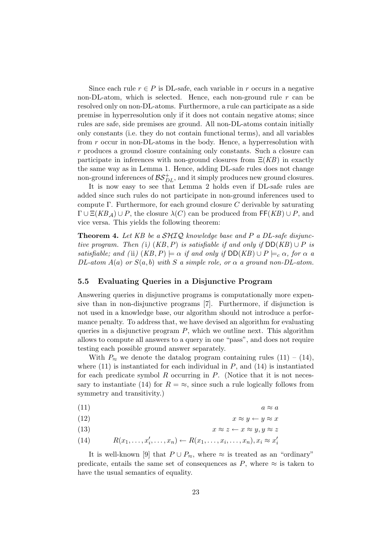Since each rule  $r \in P$  is DL-safe, each variable in r occurs in a negative non-DL-atom, which is selected. Hence, each non-ground rule r can be resolved only on non-DL-atoms. Furthermore, a rule can participate as a side premise in hyperresolution only if it does not contain negative atoms; since rules are safe, side premises are ground. All non-DL-atoms contain initially only constants (i.e. they do not contain functional terms), and all variables from r occur in non-DL-atoms in the body. Hence, a hyperresolution with r produces a ground closure containing only constants. Such a closure can participate in inferences with non-ground closures from  $\Xi(KB)$  in exactly the same way as in Lemma 1. Hence, adding DL-safe rules does not change non-ground inferences of  $\mathcal{BS}^+_{DL}$ , and it simply produces new ground closures.

It is now easy to see that Lemma 2 holds even if DL-safe rules are added since such rules do not participate in non-ground inferences used to compute Γ. Furthermore, for each ground closure  $C$  derivable by saturating  $\Gamma \cup \Xi(KB_A) \cup P$ , the closure  $\lambda(C)$  can be produced from  $\mathsf{FF}(KB) \cup P$ , and vice versa. This yields the following theorem:

**Theorem 4.** Let KB be a  $\mathcal{SHIQ}$  knowledge base and P a DL-safe disjunctive program. Then (i) (KB, P) is satisfiable if and only if  $DD(KB) \cup P$  is satisfiable; and (ii)  $(KB, P) \models \alpha$  if and only if  $DD(KB) \cup P \models_c \alpha$ , for  $\alpha$  a DL-atom  $A(a)$  or  $S(a, b)$  with S a simple role, or  $\alpha$  a ground non-DL-atom.

## 5.5 Evaluating Queries in a Disjunctive Program

Answering queries in disjunctive programs is computationally more expensive than in non-disjunctive programs [7]. Furthermore, if disjunction is not used in a knowledge base, our algorithm should not introduce a performance penalty. To address that, we have devised an algorithm for evaluating queries in a disjunctive program  $P$ , which we outline next. This algorithm allows to compute all answers to a query in one "pass", and does not require testing each possible ground answer separately.

With  $P_{\approx}$  we denote the datalog program containing rules (11) – (14), where  $(11)$  is instantiated for each individual in P, and  $(14)$  is instantiated for each predicate symbol  $R$  occurring in  $P$ . (Notice that it is not necessary to instantiate (14) for  $R = \infty$ , since such a rule logically follows from symmetry and transitivity.)

$$
(11) \t\t a \approx a
$$

$$
(12) \t\t x \approx y \leftarrow y \approx x
$$

$$
(13) \t\t x \approx z \leftarrow x \approx y, y \approx z
$$

(14) 
$$
R(x_1,\ldots,x_i',\ldots,x_n) \leftarrow R(x_1,\ldots,x_i,\ldots,x_n), x_i \approx x_i'
$$

It is well-known [9] that  $P \cup P_{\approx}$ , where  $\approx$  is treated as an "ordinary" predicate, entails the same set of consequences as P, where  $\approx$  is taken to have the usual semantics of equality.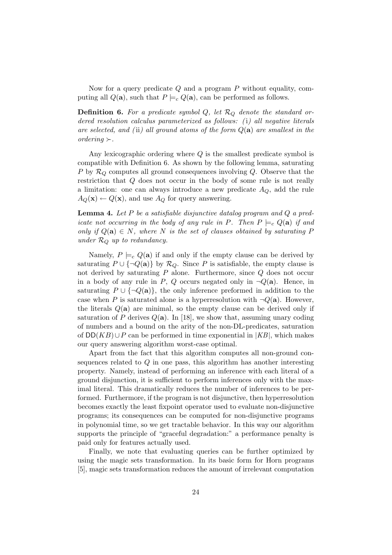Now for a query predicate  $Q$  and a program P without equality, computing all  $Q(\mathbf{a})$ , such that  $P \models_c Q(\mathbf{a})$ , can be performed as follows.

**Definition 6.** For a predicate symbol Q, let  $\mathcal{R}_Q$  denote the standard ordered resolution calculus parameterized as follows: (i) all negative literals are selected, and (ii) all ground atoms of the form  $Q(\mathbf{a})$  are smallest in the ordering ≻.

Any lexicographic ordering where  $Q$  is the smallest predicate symbol is compatible with Definition 6. As shown by the following lemma, saturating P by  $\mathcal{R}_Q$  computes all ground consequences involving Q. Observe that the restriction that Q does not occur in the body of some rule is not really a limitation: one can always introduce a new predicate  $A_Q$ , add the rule  $A_Q(\mathbf{x}) \leftarrow Q(\mathbf{x})$ , and use  $A_Q$  for query answering.

**Lemma 4.** Let  $P$  be a satisfiable disjunctive datalog program and  $Q$  a predicate not occurring in the body of any rule in P. Then  $P \models_c Q(\mathbf{a})$  if and only if  $Q(\mathbf{a}) \in N$ , where N is the set of clauses obtained by saturating P under  $\mathcal{R}_Q$  up to redundancy.

Namely,  $P \models_c Q(\mathbf{a})$  if and only if the empty clause can be derived by saturating  $P \cup {\neg Q(\mathbf{a})}$  by  $\mathcal{R}_Q$ . Since P is satisfiable, the empty clause is not derived by saturating  $P$  alone. Furthermore, since  $Q$  does not occur in a body of any rule in P, Q occurs negated only in  $\neg Q(\mathbf{a})$ . Hence, in saturating  $P \cup {\neg Q(\mathbf{a})}$ , the only inference preformed in addition to the case when P is saturated alone is a hyperresolution with  $\neg Q(\mathbf{a})$ . However, the literals  $Q(a)$  are minimal, so the empty clause can be derived only if saturation of P derives  $Q(\mathbf{a})$ . In [18], we show that, assuming unary coding of numbers and a bound on the arity of the non-DL-predicates, saturation of  $DD(KB) \cup P$  can be performed in time exponential in |KB|, which makes our query answering algorithm worst-case optimal.

Apart from the fact that this algorithm computes all non-ground consequences related to Q in one pass, this algorithm has another interesting property. Namely, instead of performing an inference with each literal of a ground disjunction, it is sufficient to perform inferences only with the maximal literal. This dramatically reduces the number of inferences to be performed. Furthermore, if the program is not disjunctive, then hyperresolution becomes exactly the least fixpoint operator used to evaluate non-disjunctive programs; its consequences can be computed for non-disjunctive programs in polynomial time, so we get tractable behavior. In this way our algorithm supports the principle of "graceful degradation:" a performance penalty is paid only for features actually used.

Finally, we note that evaluating queries can be further optimized by using the magic sets transformation. In its basic form for Horn programs [5], magic sets transformation reduces the amount of irrelevant computation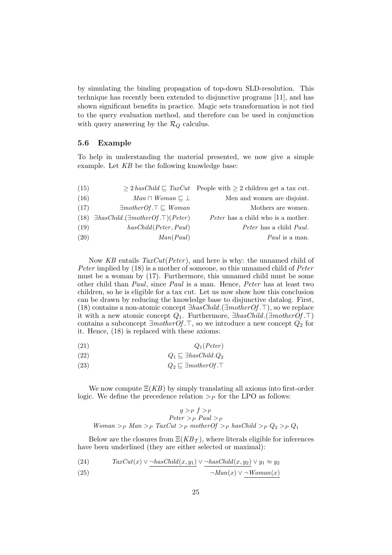by simulating the binding propagation of top-down SLD-resolution. This technique has recently been extended to disjunctive programs [11], and has shown significant benefits in practice. Magic sets transformation is not tied to the query evaluation method, and therefore can be used in conjunction with query answering by the  $\mathcal{R}_Q$  calculus.

## 5.6 Example

To help in understanding the material presented, we now give a simple example. Let KB be the following knowledge base:

| $\geq 2$ has Child $\sqsubseteq$ TaxCut People with $\geq 2$ children get a tax cut. |                                                           | (15) |
|--------------------------------------------------------------------------------------|-----------------------------------------------------------|------|
| Men and women are disjoint.                                                          | $Man \sqcap Woman \sqsubseteq \bot$                       | (16) |
| Mothers are women.                                                                   | $\exists motherOf.\top \sqsubseteq Woman$                 | (17) |
| <i>Peter</i> has a child who is a mother.                                            | $(18)$ $\exists has Child.(\exists motherOf.\top)(Peter)$ |      |
| Peter has a child Paul.                                                              | hasChild(Peter, Paul)                                     | (19) |
| <i>Paul</i> is a man.                                                                | Man(Paul)                                                 | (20) |

Now KB entails  $TaxCut(Peter)$ , and here is why: the unnamed child of Peter implied by (18) is a mother of someone, so this unnamed child of Peter must be a woman by (17). Furthermore, this unnamed child must be some other child than Paul, since Paul is a man. Hence, Peter has at least two children, so he is eligible for a tax cut. Let us now show how this conclusion can be drawn by reducing the knowledge base to disjunctive datalog. First, (18) contains a non-atomic concept  $\exists hasChild.(\exists motherOf.\top)$ , so we replace it with a new atomic concept  $Q_1$ . Furthermore,  $\exists$ hasChild.( $\exists$ motherOf. $\top$ ) contains a subconcept  $\exists motherOf.\top$ , so we introduce a new concept  $Q_2$  for it. Hence, (18) is replaced with these axioms:

$$
(21) \tQ1(Peter)
$$

$$
(22) \tQ_1 \sqsubseteq \exists hasChild.Q_2
$$

(23)  $Q_2 \sqsubseteq \exists motherOf.\top$ 

We now compute  $\Xi(KB)$  by simply translating all axioms into first-order logic. We define the precedence relation  $\gt_P$  for the LPO as follows:

$$
g >_{P} f >_{P}
$$
  
 
$$
Peter >_{P} Paul >_{P}
$$
  
 
$$
Woman >_{P} Man >_{P} TaxCut >_{P} motherOf >_{P} hasChild >_{P} Q_{2} >_{P} Q_{1}
$$

Below are the closures from  $E(KB_T)$ , where literals eligible for inferences have been underlined (they are either selected or maximal):

(24) 
$$
TaxCut(x) \vee \underline{\neg hasChild(x, y_1)} \vee \underline{\neg hasChild(x, y_2)} \vee y_1 \approx y_2
$$

$$
\neg Man(x) \lor \neg Woman(x)
$$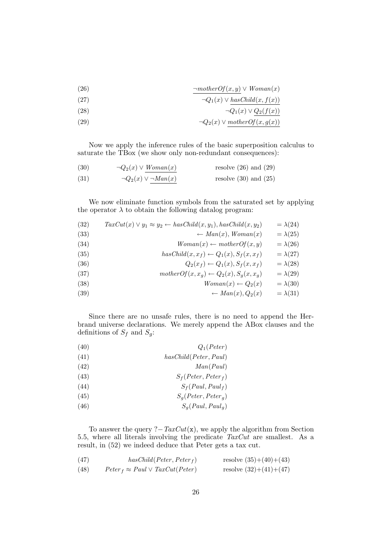(26)  $\neg motherOf(x, y) \lor Woman(x)$ 

(27) 
$$
\neg Q_1(x) \lor \text{hasChild}(x, f(x))
$$

$$
\neg Q_1(x) \lor Q_2(f(x))
$$

(29) 
$$
\neg Q_2(x) \lor motherOf(x, g(x))
$$

Now we apply the inference rules of the basic superposition calculus to saturate the TBox (we show only non-redundant consequences):

(30) 
$$
\neg Q_2(x) \lor \underline{Woman(x)}
$$
 resolve (26) and (29)

(31) 
$$
\neg Q_2(x) \lor \neg Man(x) \qquad \qquad \text{resolve (30) and (25)}
$$

We now eliminate function symbols from the saturated set by applying the operator  $\lambda$  to obtain the following datalog program:

(32) 
$$
TaxCut(x) \vee y_1 \approx y_2 \leftarrow hasChild(x, y_1), hasChild(x, y_2) = \lambda(24)
$$
\n(33) 
$$
\leftarrow Man(x), Woman(x) = \lambda(25)
$$
\n(34) 
$$
Woman(x) \leftarrow motherOf(x, y) = \lambda(26)
$$
\n(35) 
$$
hasChild(x, x_f) \leftarrow Q_1(x), S_f(x, x_f) = \lambda(27)
$$
\n(36) 
$$
Q_2(x_f) \leftarrow Q_1(x), S_f(x, x_f) = \lambda(28)
$$
\n(37) 
$$
motherOf(x, x_g) \leftarrow Q_2(x), S_g(x, x_g) = \lambda(29)
$$
\n(38) 
$$
Woman(x) \leftarrow Q_2(x) = \lambda(30)
$$

(39) 
$$
\leftarrow Man(x), Q_2(x) = \lambda(31)
$$

Since there are no unsafe rules, there is no need to append the Herbrand universe declarations. We merely append the ABox clauses and the definitions of  $S_f$  and  $S_g$ :

$$
(40) \tQ1(Peter)
$$

$$
(41) \qquad \qquad hasChild(Peter, Paul)
$$

$$
(42) \t Man(Paul)
$$

$$
(43) \tSf(Peter, Peter)
$$

$$
(44) \tSf(Paul, Paulf)
$$

$$
(45) \tSg(Peter, Peterg)
$$

$$
(46) \t S_g(Paul, Paul_g)
$$

To answer the query ? $-TaxCut(x)$ , we apply the algorithm from Section 5.5, where all literals involving the predicate  $TaxCut$  are smallest. As a result, in (52) we indeed deduce that Peter gets a tax cut.

(47) 
$$
hasChild(Peter, Peter_f)
$$
 resolve (35)+(40)+(43)  
(48) 
$$
Peter_f \approx Paul \vee TaxCut(Peter)
$$
 resolve (32)+(41)+(47)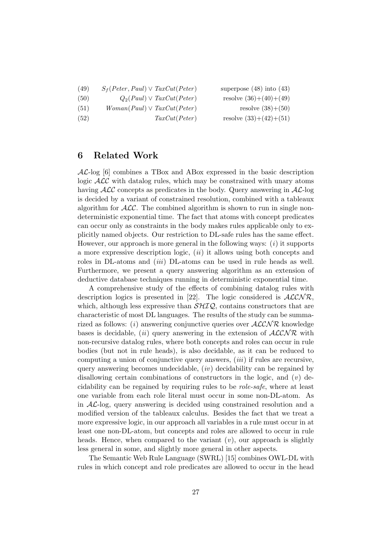| (49) | $S_f(Peter, Paul) \vee TaxCut(Peter)$ | superpose $(48)$ into $(43)$ |
|------|---------------------------------------|------------------------------|
| (50) | $Q_2(Paul) \vee TaxCut(Peter)$        | resolve $(36)+(40)+(49)$     |
| (51) | $Woman(Paul) \vee TaxCut(Peter)$      | resolve $(38)+(50)$          |
| (52) | TaxCut(Peter)                         | resolve $(33)+(42)+(51)$     |

# 6 Related Work

AL-log [6] combines a TBox and ABox expressed in the basic description logic ALC with datalog rules, which may be constrained with unary atoms having  $\mathcal{ALC}$  concepts as predicates in the body. Query answering in  $\mathcal{AL}$ -log is decided by a variant of constrained resolution, combined with a tableaux algorithm for  $\mathcal{ALC}$ . The combined algorithm is shown to run in single nondeterministic exponential time. The fact that atoms with concept predicates can occur only as constraints in the body makes rules applicable only to explicitly named objects. Our restriction to DL-safe rules has the same effect. However, our approach is more general in the following ways:  $(i)$  it supports a more expressive description logic,  $(ii)$  it allows using both concepts and roles in DL-atoms and (iii) DL-atoms can be used in rule heads as well. Furthermore, we present a query answering algorithm as an extension of deductive database techniques running in deterministic exponential time.

A comprehensive study of the effects of combining datalog rules with description logics is presented in [22]. The logic considered is  $ALCNR$ , which, although less expressive than  $\mathcal{SHIQ}$ , contains constructors that are characteristic of most DL languages. The results of the study can be summarized as follows: (i) answering conjunctive queries over  $ALCNR$  knowledge bases is decidable, (ii) query answering in the extension of  $ALCNR$  with non-recursive datalog rules, where both concepts and roles can occur in rule bodies (but not in rule heads), is also decidable, as it can be reduced to computing a union of conjunctive query answers,  $(iii)$  if rules are recursive, query answering becomes undecidable,  $(iv)$  decidability can be regained by disallowing certain combinations of constructors in the logic, and  $(v)$  decidability can be regained by requiring rules to be role-safe, where at least one variable from each role literal must occur in some non-DL-atom. As in  $A\mathcal{L}$ -log, query answering is decided using constrained resolution and a modified version of the tableaux calculus. Besides the fact that we treat a more expressive logic, in our approach all variables in a rule must occur in at least one non-DL-atom, but concepts and roles are allowed to occur in rule heads. Hence, when compared to the variant  $(v)$ , our approach is slightly less general in some, and slightly more general in other aspects.

The Semantic Web Rule Language (SWRL) [15] combines OWL-DL with rules in which concept and role predicates are allowed to occur in the head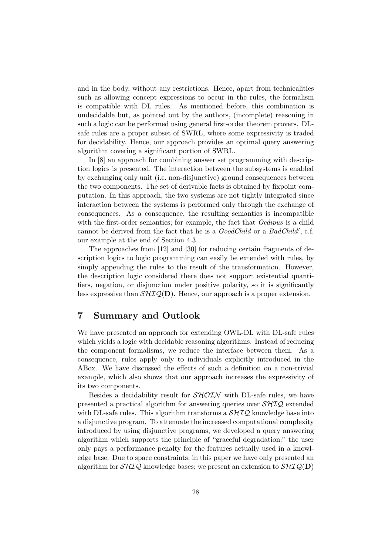and in the body, without any restrictions. Hence, apart from technicalities such as allowing concept expressions to occur in the rules, the formalism is compatible with DL rules. As mentioned before, this combination is undecidable but, as pointed out by the authors, (incomplete) reasoning in such a logic can be performed using general first-order theorem provers. DLsafe rules are a proper subset of SWRL, where some expressivity is traded for decidability. Hence, our approach provides an optimal query answering algorithm covering a significant portion of SWRL.

In [8] an approach for combining answer set programming with description logics is presented. The interaction between the subsystems is enabled by exchanging only unit (i.e. non-disjunctive) ground consequences between the two components. The set of derivable facts is obtained by fixpoint computation. In this approach, the two systems are not tightly integrated since interaction between the systems is performed only through the exchange of consequences. As a consequence, the resulting semantics is incompatible with the first-order semantics; for example, the fact that *Oedipus* is a child cannot be derived from the fact that he is a *GoodChild* or a *BadChild'*, c.f. our example at the end of Section 4.3.

The approaches from [12] and [30] for reducing certain fragments of description logics to logic programming can easily be extended with rules, by simply appending the rules to the result of the transformation. However, the description logic considered there does not support existential quantifiers, negation, or disjunction under positive polarity, so it is significantly less expressive than  $\mathcal{SHIO}(D)$ . Hence, our approach is a proper extension.

# 7 Summary and Outlook

We have presented an approach for extending OWL-DL with DL-safe rules which yields a logic with decidable reasoning algorithms. Instead of reducing the component formalisms, we reduce the interface between them. As a consequence, rules apply only to individuals explicitly introduced in the ABox. We have discussed the effects of such a definition on a non-trivial example, which also shows that our approach increases the expressivity of its two components.

Besides a decidability result for  $\mathcal{SHOIN}$  with DL-safe rules, we have presented a practical algorithm for answering queries over  $\mathcal{SHIQ}$  extended with DL-safe rules. This algorithm transforms a  $\mathcal{SHIQ}$  knowledge base into a disjunctive program. To attenuate the increased computational complexity introduced by using disjunctive programs, we developed a query answering algorithm which supports the principle of "graceful degradation:" the user only pays a performance penalty for the features actually used in a knowledge base. Due to space constraints, in this paper we have only presented an algorithm for  $\mathcal{SHIQ}$  knowledge bases; we present an extension to  $\mathcal{SHIQ}(\mathbf{D})$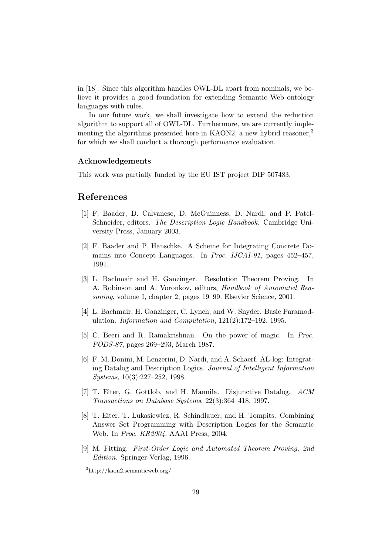in [18]. Since this algorithm handles OWL-DL apart from nominals, we believe it provides a good foundation for extending Semantic Web ontology languages with rules.

In our future work, we shall investigate how to extend the reduction algorithm to support all of OWL-DL. Furthermore, we are currently implementing the algorithms presented here in KAON2, a new hybrid reasoner,<sup>3</sup> for which we shall conduct a thorough performance evaluation.

### Acknowledgements

This work was partially funded by the EU IST project DIP 507483.

# References

- [1] F. Baader, D. Calvanese, D. McGuinness, D. Nardi, and P. Patel-Schneider, editors. The Description Logic Handbook. Cambridge University Press, January 2003.
- [2] F. Baader and P. Hanschke. A Scheme for Integrating Concrete Domains into Concept Languages. In Proc. IJCAI-91, pages 452–457, 1991.
- [3] L. Bachmair and H. Ganzinger. Resolution Theorem Proving. In A. Robinson and A. Voronkov, editors, Handbook of Automated Reasoning, volume I, chapter 2, pages 19–99. Elsevier Science, 2001.
- [4] L. Bachmair, H. Ganzinger, C. Lynch, and W. Snyder. Basic Paramodulation. Information and Computation, 121(2):172–192, 1995.
- [5] C. Beeri and R. Ramakrishnan. On the power of magic. In Proc. PODS-87, pages 269–293, March 1987.
- [6] F. M. Donini, M. Lenzerini, D. Nardi, and A. Schaerf. AL-log: Integrating Datalog and Description Logics. Journal of Intelligent Information Systems, 10(3):227–252, 1998.
- [7] T. Eiter, G. Gottlob, and H. Mannila. Disjunctive Datalog. ACM Transactions on Database Systems, 22(3):364–418, 1997.
- [8] T. Eiter, T. Lukasiewicz, R. Schindlauer, and H. Tompits. Combining Answer Set Programming with Description Logics for the Semantic Web. In Proc. KR2004. AAAI Press, 2004.
- [9] M. Fitting. First-Order Logic and Automated Theorem Proving, 2nd Edition. Springer Verlag, 1996.

<sup>3</sup>http://kaon2.semanticweb.org/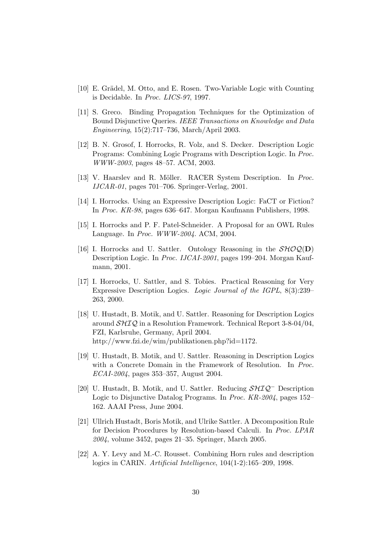- [10] E. Grädel, M. Otto, and E. Rosen. Two-Variable Logic with Counting is Decidable. In Proc. LICS-97, 1997.
- [11] S. Greco. Binding Propagation Techniques for the Optimization of Bound Disjunctive Queries. IEEE Transactions on Knowledge and Data Engineering, 15(2):717–736, March/April 2003.
- [12] B. N. Grosof, I. Horrocks, R. Volz, and S. Decker. Description Logic Programs: Combining Logic Programs with Description Logic. In Proc. WWW-2003, pages 48–57. ACM, 2003.
- [13] V. Haarslev and R. Möller. RACER System Description. In Proc.  $IJCAR-01$ , pages 701–706. Springer-Verlag, 2001.
- [14] I. Horrocks. Using an Expressive Description Logic: FaCT or Fiction? In Proc. KR-98, pages 636–647. Morgan Kaufmann Publishers, 1998.
- [15] I. Horrocks and P. F. Patel-Schneider. A Proposal for an OWL Rules Language. In Proc. WWW-2004. ACM, 2004.
- [16] I. Horrocks and U. Sattler. Ontology Reasoning in the  $\mathcal{SHOQ}(\mathbf{D})$ Description Logic. In Proc. IJCAI-2001, pages 199–204. Morgan Kaufmann, 2001.
- [17] I. Horrocks, U. Sattler, and S. Tobies. Practical Reasoning for Very Expressive Description Logics. Logic Journal of the IGPL, 8(3):239– 263, 2000.
- [18] U. Hustadt, B. Motik, and U. Sattler. Reasoning for Description Logics around  $\mathcal{SHIQ}$  in a Resolution Framework. Technical Report 3-8-04/04, FZI, Karlsruhe, Germany, April 2004. http://www.fzi.de/wim/publikationen.php?id=1172.
- [19] U. Hustadt, B. Motik, and U. Sattler. Reasoning in Description Logics with a Concrete Domain in the Framework of Resolution. In *Proc.* ECAI-2004, pages 353–357, August 2004.
- [20] U. Hustadt, B. Motik, and U. Sattler. Reducing SHIQ<sup>−</sup> Description Logic to Disjunctive Datalog Programs. In Proc. KR-2004, pages 152– 162. AAAI Press, June 2004.
- [21] Ullrich Hustadt, Boris Motik, and Ulrike Sattler. A Decomposition Rule for Decision Procedures by Resolution-based Calculi. In Proc. LPAR 2004, volume 3452, pages 21–35. Springer, March 2005.
- [22] A. Y. Levy and M.-C. Rousset. Combining Horn rules and description logics in CARIN. Artificial Intelligence, 104(1-2):165–209, 1998.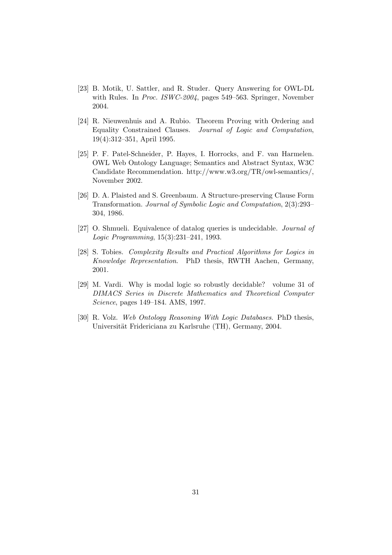- [23] B. Motik, U. Sattler, and R. Studer. Query Answering for OWL-DL with Rules. In *Proc. ISWC-2004*, pages 549–563. Springer, November 2004.
- [24] R. Nieuwenhuis and A. Rubio. Theorem Proving with Ordering and Equality Constrained Clauses. Journal of Logic and Computation, 19(4):312–351, April 1995.
- [25] P. F. Patel-Schneider, P. Hayes, I. Horrocks, and F. van Harmelen. OWL Web Ontology Language; Semantics and Abstract Syntax, W3C Candidate Recommendation. http://www.w3.org/TR/owl-semantics/, November 2002.
- [26] D. A. Plaisted and S. Greenbaum. A Structure-preserving Clause Form Transformation. Journal of Symbolic Logic and Computation, 2(3):293– 304, 1986.
- [27] O. Shmueli. Equivalence of datalog queries is undecidable. Journal of Logic Programming, 15(3):231–241, 1993.
- [28] S. Tobies. Complexity Results and Practical Algorithms for Logics in Knowledge Representation. PhD thesis, RWTH Aachen, Germany, 2001.
- [29] M. Vardi. Why is modal logic so robustly decidable? volume 31 of DIMACS Series in Discrete Mathematics and Theoretical Computer Science, pages 149–184. AMS, 1997.
- [30] R. Volz. Web Ontology Reasoning With Logic Databases. PhD thesis, Universität Fridericiana zu Karlsruhe (TH), Germany, 2004.